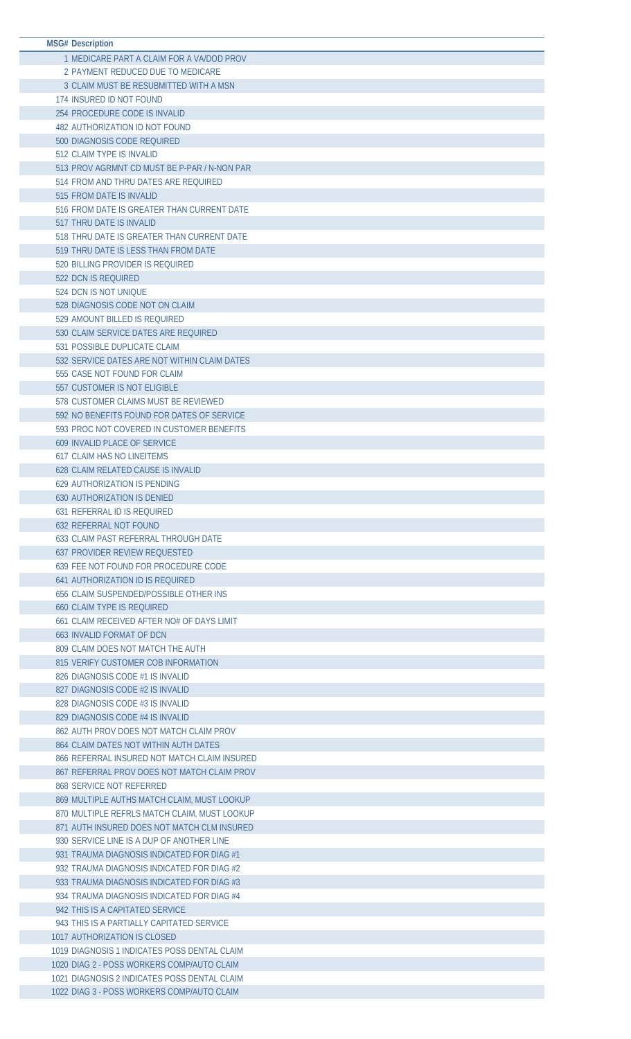| <b>MSG# Description</b>                       |
|-----------------------------------------------|
| 1 MEDICARE PART A CLAIM FOR A VA/DOD PROV     |
| 2 PAYMENT REDUCED DUE TO MEDICARE             |
| 3 CLAIM MUST BE RESUBMITTED WITH A MSN        |
| 174 INSURED ID NOT FOUND                      |
|                                               |
| 254 PROCEDURE CODE IS INVALID                 |
| <b>482 AUTHORIZATION ID NOT FOUND</b>         |
| 500 DIAGNOSIS CODE REQUIRED                   |
| 512 CLAIM TYPE IS INVALID                     |
| 513 PROV AGRMNT CD MUST BE P-PAR / N-NON PAR  |
| 514 FROM AND THRU DATES ARE REQUIRED          |
| 515 FROM DATE IS INVALID                      |
| 516 FROM DATE IS GREATER THAN CURRENT DATE    |
| 517 THRU DATE IS INVALID                      |
| 518 THRU DATE IS GREATER THAN CURRENT DATE    |
| 519 THRU DATE IS LESS THAN FROM DATE          |
| 520 BILLING PROVIDER IS REQUIRED              |
| 522 DCN IS REQUIRED                           |
| 524 DCN IS NOT UNIQUE                         |
| 528 DIAGNOSIS CODE NOT ON CLAIM               |
|                                               |
| 529 AMOUNT BILLED IS REQUIRED                 |
| 530 CLAIM SERVICE DATES ARE REQUIRED          |
| 531 POSSIBLE DUPLICATE CLAIM                  |
| 532 SERVICE DATES ARE NOT WITHIN CLAIM DATES  |
| 555 CASE NOT FOUND FOR CLAIM                  |
| 557 CUSTOMER IS NOT ELIGIBLE                  |
| 578 CUSTOMER CLAIMS MUST BE REVIEWED          |
| 592 NO BENEFITS FOUND FOR DATES OF SERVICE    |
| 593 PROC NOT COVERED IN CUSTOMER BENEFITS     |
| 609 INVALID PLACE OF SERVICE                  |
| <b>617 CLAIM HAS NO LINEITEMS</b>             |
| 628 CLAIM RELATED CAUSE IS INVALID            |
| <b>629 AUTHORIZATION IS PENDING</b>           |
| <b>630 AUTHORIZATION IS DENIED</b>            |
| 631 REFERRAL ID IS REQUIRED                   |
| <b>632 REFERRAL NOT FOUND</b>                 |
| 633 CLAIM PAST REFERRAL THROUGH DATE          |
| <b>637 PROVIDER REVIEW REQUESTED</b>          |
|                                               |
| 639 FEE NOT FOUND FOR PROCEDURE CODE          |
| 641 AUTHORIZATION ID IS REQUIRED              |
| <b>656 CLAIM SUSPENDED/POSSIBLE OTHER INS</b> |
| <b>660 CLAIM TYPE IS REOUIRED</b>             |
| 661 CLAIM RECEIVED AFTER NO# OF DAYS LIMIT    |
| <b>663 INVALID FORMAT OF DCN</b>              |
| 809 CLAIM DOES NOT MATCH THE AUTH             |
| 815 VERIFY CUSTOMER COB INFORMATION           |
| 826 DIAGNOSIS CODE #1 IS INVALID              |
| 827 DIAGNOSIS CODE #2 IS INVALID              |
| 828 DIAGNOSIS CODE #3 IS INVALID              |
| 829 DIAGNOSIS CODE #4 IS INVALID              |
| 862 AUTH PROV DOES NOT MATCH CLAIM PROV       |
| 864 CLAIM DATES NOT WITHIN AUTH DATES         |
| 866 REFERRAL INSURED NOT MATCH CLAIM INSURED  |
| 867 REFERRAL PROV DOES NOT MATCH CLAIM PROV   |
| <b>868 SERVICE NOT REFERRED</b>               |
| 869 MULTIPLE AUTHS MATCH CLAIM, MUST LOOKUP   |
| 870 MULTIPLE REFRLS MATCH CLAIM, MUST LOOKUP  |
| 871 AUTH INSURED DOES NOT MATCH CLM INSURED   |
| 930 SERVICE LINE IS A DUP OF ANOTHER LINE     |
| 931 TRAUMA DIAGNOSIS INDICATED FOR DIAG #1    |
| 932 TRAUMA DIAGNOSIS INDICATED FOR DIAG #2    |
|                                               |
| 933 TRAUMA DIAGNOSIS INDICATED FOR DIAG #3    |
| 934 TRAUMA DIAGNOSIS INDICATED FOR DIAG #4    |
| 942 THIS IS A CAPITATED SERVICE               |
| 943 THIS IS A PARTIALLY CAPITATED SERVICE     |
| 1017 AUTHORIZATION IS CLOSED                  |
| 1019 DIAGNOSIS 1 INDICATES POSS DENTAL CLAIM  |
| 1020 DIAG 2 - POSS WORKERS COMP/AUTO CLAIM    |
| 1021 DIAGNOSIS 2 INDICATES POSS DENTAL CLAIM  |
| 1022 DIAG 3 - POSS WORKERS COMP/AUTO CLAIM    |
|                                               |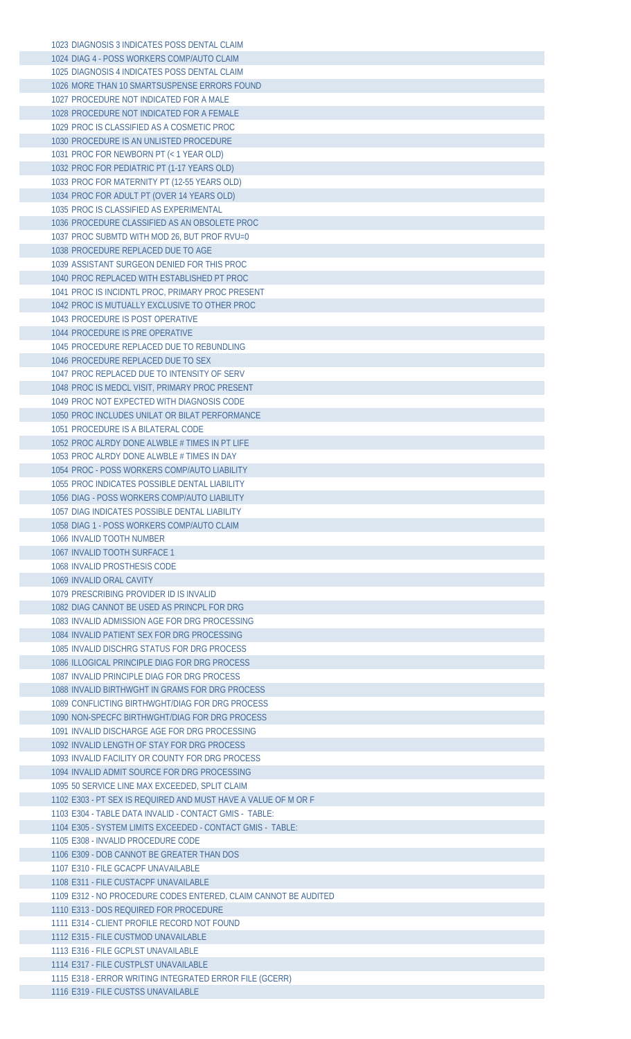DIAGNOSIS 3 INDICATES POSS DENTAL CLAIM DIAG 4 - POSS WORKERS COMP/AUTO CLAIM DIAGNOSIS 4 INDICATES POSS DENTAL CLAIM MORE THAN 10 SMARTSUSPENSE ERRORS FOUND PROCEDURE NOT INDICATED FOR A MALE PROCEDURE NOT INDICATED FOR A FEMALE PROC IS CLASSIFIED AS A COSMETIC PROC PROCEDURE IS AN UNLISTED PROCEDURE PROC FOR NEWBORN PT (< 1 YEAR OLD) PROC FOR PEDIATRIC PT (1-17 YEARS OLD) PROC FOR MATERNITY PT (12-55 YEARS OLD) PROC FOR ADULT PT (OVER 14 YEARS OLD) PROC IS CLASSIFIED AS EXPERIMENTAL PROCEDURE CLASSIFIED AS AN OBSOLETE PROC PROC SUBMTD WITH MOD 26, BUT PROF RVU=0 PROCEDURE REPLACED DUE TO AGE ASSISTANT SURGEON DENIED FOR THIS PROC PROC REPLACED WITH ESTABLISHED PT PROC PROC IS INCIDNTL PROC, PRIMARY PROC PRESENT PROC IS MUTUALLY EXCLUSIVE TO OTHER PROC PROCEDURE IS POST OPERATIVE PROCEDURE IS PRE OPERATIVE PROCEDURE REPLACED DUE TO REBUNDLING PROCEDURE REPLACED DUE TO SEX PROC REPLACED DUE TO INTENSITY OF SERV PROC IS MEDCL VISIT, PRIMARY PROC PRESENT PROC NOT EXPECTED WITH DIAGNOSIS CODE PROC INCLUDES UNILAT OR BILAT PERFORMANCE PROCEDURE IS A BILATERAL CODE PROC ALRDY DONE ALWBLE # TIMES IN PT LIFE PROC ALRDY DONE ALWBLE # TIMES IN DAY PROC - POSS WORKERS COMP/AUTO LIABILITY PROC INDICATES POSSIBLE DENTAL LIABILITY DIAG - POSS WORKERS COMP/AUTO LIABILITY DIAG INDICATES POSSIBLE DENTAL LIABILITY DIAG 1 - POSS WORKERS COMP/AUTO CLAIM INVALID TOOTH NUMBER INVALID TOOTH SURFACE 1 INVALID PROSTHESIS CODE INVALID ORAL CAVITY PRESCRIBING PROVIDER ID IS INVALID DIAG CANNOT BE USED AS PRINCPL FOR DRG INVALID ADMISSION AGE FOR DRG PROCESSING INVALID PATIENT SEX FOR DRG PROCESSING INVALID DISCHRG STATUS FOR DRG PROCESS ILLOGICAL PRINCIPLE DIAG FOR DRG PROCESS INVALID PRINCIPLE DIAG FOR DRG PROCESS INVALID BIRTHWGHT IN GRAMS FOR DRG PROCESS CONFLICTING BIRTHWGHT/DIAG FOR DRG PROCESS NON-SPECFC BIRTHWGHT/DIAG FOR DRG PROCESS INVALID DISCHARGE AGE FOR DRG PROCESSING INVALID LENGTH OF STAY FOR DRG PROCESS INVALID FACILITY OR COUNTY FOR DRG PROCESS INVALID ADMIT SOURCE FOR DRG PROCESSING 50 SERVICE LINE MAX EXCEEDED, SPLIT CLAIM E303 - PT SEX IS REQUIRED AND MUST HAVE A VALUE OF M OR F E304 - TABLE DATA INVALID - CONTACT GMIS - TABLE: E305 - SYSTEM LIMITS EXCEEDED - CONTACT GMIS - TABLE: E308 - INVALID PROCEDURE CODE E309 - DOB CANNOT BE GREATER THAN DOS E310 - FILE GCACPF UNAVAILABLE E311 - FILE CUSTACPF UNAVAILABLE E312 - NO PROCEDURE CODES ENTERED, CLAIM CANNOT BE AUDITED E313 - DOS REQUIRED FOR PROCEDURE E314 - CLIENT PROFILE RECORD NOT FOUND E315 - FILE CUSTMOD UNAVAILABLE E316 - FILE GCPLST UNAVAILABLE E317 - FILE CUSTPLST UNAVAILABLE E318 - ERROR WRITING INTEGRATED ERROR FILE (GCERR) E319 - FILE CUSTSS UNAVAILABLE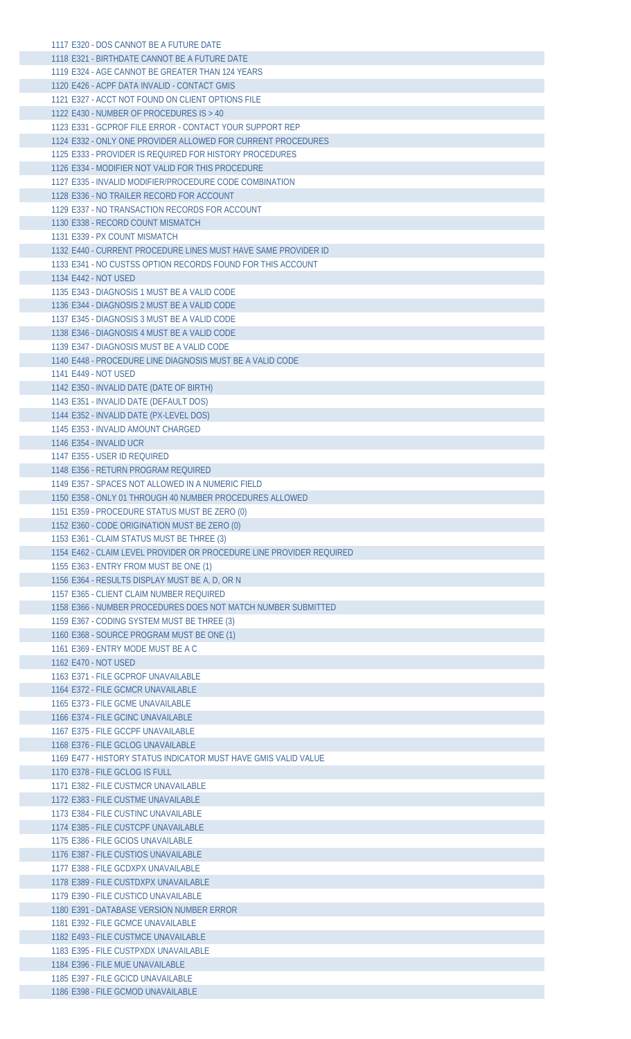| 1117 E320 - DOS CANNOT BE A FUTURE DATE                              |
|----------------------------------------------------------------------|
| 1118 E321 - BIRTHDATE CANNOT BE A FUTURE DATE                        |
| 1119 E324 - AGE CANNOT BE GREATER THAN 124 YEARS                     |
| 1120 E426 - ACPF DATA INVALID - CONTACT GMIS                         |
| 1121 E327 - ACCT NOT FOUND ON CLIENT OPTIONS FILE                    |
|                                                                      |
| 1122 E430 - NUMBER OF PROCEDURES IS > 40                             |
| 1123 E331 - GCPROF FILE ERROR - CONTACT YOUR SUPPORT REP             |
| 1124 E332 - ONLY ONE PROVIDER ALLOWED FOR CURRENT PROCEDURES         |
| 1125 E333 - PROVIDER IS REQUIRED FOR HISTORY PROCEDURES              |
| 1126 E334 - MODIFIER NOT VALID FOR THIS PROCEDURE                    |
| 1127 E335 - INVALID MODIFIER/PROCEDURE CODE COMBINATION              |
| 1128 E336 - NO TRAILER RECORD FOR ACCOUNT                            |
| 1129 E337 - NO TRANSACTION RECORDS FOR ACCOUNT                       |
| 1130 E338 - RECORD COUNT MISMATCH                                    |
| 1131 E339 - PX COUNT MISMATCH                                        |
|                                                                      |
| 1132 E440 - CURRENT PROCEDURE LINES MUST HAVE SAME PROVIDER ID       |
| 1133 E341 - NO CUSTSS OPTION RECORDS FOUND FOR THIS ACCOUNT          |
| 1134 E442 - NOT USED                                                 |
| 1135 E343 - DIAGNOSIS 1 MUST BE A VALID CODE                         |
| 1136 E344 - DIAGNOSIS 2 MUST BE A VALID CODE                         |
| 1137 E345 - DIAGNOSIS 3 MUST BE A VALID CODE                         |
| 1138 E346 - DIAGNOSIS 4 MUST BE A VALID CODE                         |
| 1139 E347 - DIAGNOSIS MUST BE A VALID CODE                           |
| 1140 E448 - PROCEDURE LINE DIAGNOSIS MUST BE A VALID CODE            |
| 1141 E449 - NOT USED                                                 |
| 1142 E350 - INVALID DATE (DATE OF BIRTH)                             |
|                                                                      |
| 1143 E351 - INVALID DATE (DEFAULT DOS)                               |
| 1144 E352 - INVALID DATE (PX-LEVEL DOS)                              |
| 1145 E353 - INVALID AMOUNT CHARGED                                   |
| 1146 E354 - INVALID UCR                                              |
| 1147 E355 - USER ID REOUIRED                                         |
| 1148 E356 - RETURN PROGRAM REOUIRED                                  |
| 1149 E357 - SPACES NOT ALLOWED IN A NUMERIC FIELD                    |
| 1150 E358 - ONLY 01 THROUGH 40 NUMBER PROCEDURES ALLOWED             |
|                                                                      |
|                                                                      |
| 1151 E359 - PROCEDURE STATUS MUST BE ZERO (0)                        |
| 1152 E360 - CODE ORIGINATION MUST BE ZERO (0)                        |
| 1153 E361 - CLAIM STATUS MUST BE THREE (3)                           |
| 1154 E462 - CLAIM LEVEL PROVIDER OR PROCEDURE LINE PROVIDER REQUIRED |
| 1155 E363 - ENTRY FROM MUST BE ONE (1)                               |
| 1156 E364 - RESULTS DISPLAY MUST BE A, D, OR N                       |
| 1157 E365 - CLIENT CLAIM NUMBER REOUIRED                             |
| 1158 E366 - NUMBER PROCEDURES DOES NOT MATCH NUMBER SUBMITTED        |
| 1159 E367 - CODING SYSTEM MUST BE THREE (3)                          |
| 1160 E368 - SOURCE PROGRAM MUST BE ONE (1)                           |
| 1161 E369 - ENTRY MODE MUST BE A C                                   |
| 1162 E470 - NOT USED                                                 |
|                                                                      |
| 1163 E371 - FILE GCPROF UNAVAILABLE                                  |
| 1164 E372 - FILE GCMCR UNAVAILABLE                                   |
| 1165 E373 - FILE GCME UNAVAILABLE                                    |
| 1166 E374 - FILE GCINC UNAVAILABLE                                   |
| 1167 E375 - FILE GCCPF UNAVAILABLE                                   |
| 1168 E376 - FILE GCLOG UNAVAILABLE                                   |
| 1169 E477 - HISTORY STATUS INDICATOR MUST HAVE GMIS VALID VALUE      |
| 1170 E378 - FILE GCLOG IS FULL                                       |
| 1171 E382 - FILE CUSTMCR UNAVAILABLE                                 |
| 1172 E383 - FILE CUSTME UNAVAILABLE                                  |
| 1173 E384 - FILE CUSTINC UNAVAILABLE                                 |
| 1174 E385 - FILE CUSTCPF UNAVAILABLE                                 |
| 1175 E386 - FILE GCIOS UNAVAILABLE                                   |
|                                                                      |
| 1176 E387 - FILE CUSTIOS UNAVAILABLE                                 |
| 1177 E388 - FILE GCDXPX UNAVAILABLE                                  |
| 1178 E389 - FILE CUSTDXPX UNAVAILABLE                                |
| 1179 E390 - FILE CUSTICD UNAVAILABLE                                 |
| 1180 E391 - DATABASE VERSION NUMBER ERROR                            |
| 1181 E392 - FILE GCMCE UNAVAILABLE                                   |
| 1182 E493 - FILE CUSTMCE UNAVAILABLE                                 |
| 1183 E395 - FILE CUSTPXDX UNAVAILABLE                                |
| 1184 E396 - FILE MUE UNAVAILABLE                                     |
| 1185 E397 - FILE GCICD UNAVAILABLE                                   |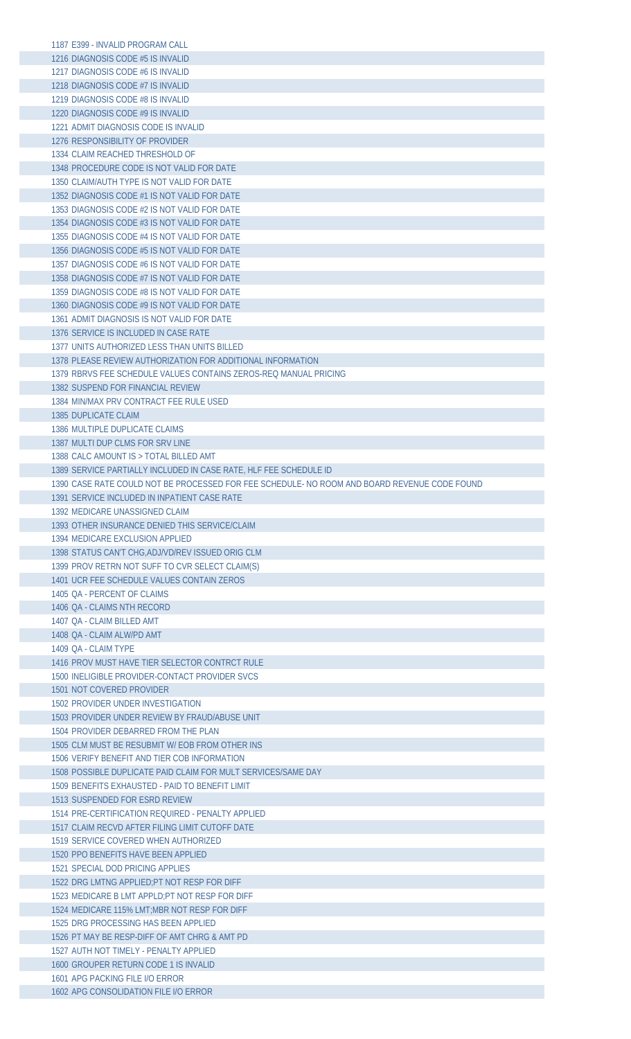| 1187 E399 - INVALID PROGRAM CALL                                                                                 |  |
|------------------------------------------------------------------------------------------------------------------|--|
| 1216 DIAGNOSIS CODE #5 IS INVALID                                                                                |  |
| 1217 DIAGNOSIS CODE #6 IS INVALID                                                                                |  |
| 1218 DIAGNOSIS CODE #7 IS INVALID                                                                                |  |
| 1219 DIAGNOSIS CODE #8 IS INVALID                                                                                |  |
| 1220 DIAGNOSIS CODE #9 IS INVALID                                                                                |  |
| 1221 ADMIT DIAGNOSIS CODE IS INVALID                                                                             |  |
| 1276 RESPONSIBILITY OF PROVIDER                                                                                  |  |
| 1334 CLAIM REACHED THRESHOLD OF                                                                                  |  |
| 1348 PROCEDURE CODE IS NOT VALID FOR DATE<br>1350 CLAIM/AUTH TYPE IS NOT VALID FOR DATE                          |  |
| 1352 DIAGNOSIS CODE #1 IS NOT VALID FOR DATE                                                                     |  |
| 1353 DIAGNOSIS CODE #2 IS NOT VALID FOR DATE                                                                     |  |
| 1354 DIAGNOSIS CODE #3 IS NOT VALID FOR DATE                                                                     |  |
| 1355 DIAGNOSIS CODE #4 IS NOT VALID FOR DATE                                                                     |  |
| 1356 DIAGNOSIS CODE #5 IS NOT VALID FOR DATE                                                                     |  |
| 1357 DIAGNOSIS CODE #6 IS NOT VALID FOR DATE                                                                     |  |
| 1358 DIAGNOSIS CODE #7 IS NOT VALID FOR DATE                                                                     |  |
| 1359 DIAGNOSIS CODE #8 IS NOT VALID FOR DATE                                                                     |  |
| 1360 DIAGNOSIS CODE #9 IS NOT VALID FOR DATE                                                                     |  |
| 1361 ADMIT DIAGNOSIS IS NOT VALID FOR DATE                                                                       |  |
| 1376 SERVICE IS INCLUDED IN CASE RATE                                                                            |  |
| 1377 UNITS AUTHORIZED LESS THAN UNITS BILLED                                                                     |  |
| 1378 PLEASE REVIEW AUTHORIZATION FOR ADDITIONAL INFORMATION                                                      |  |
| 1379 RBRVS FEE SCHEDULE VALUES CONTAINS ZEROS-REQ MANUAL PRICING<br>1382 SUSPEND FOR FINANCIAL REVIEW            |  |
| 1384 MIN/MAX PRV CONTRACT FEE RULE USED                                                                          |  |
| 1385 DUPLICATE CLAIM                                                                                             |  |
| 1386 MULTIPLE DUPLICATE CLAIMS                                                                                   |  |
| 1387 MULTI DUP CLMS FOR SRV LINE                                                                                 |  |
| 1388 CALC AMOUNT IS > TOTAL BILLED AMT                                                                           |  |
| 1389 SERVICE PARTIALLY INCLUDED IN CASE RATE, HLF FEE SCHEDULE ID                                                |  |
| 1390 CASE RATE COULD NOT BE PROCESSED FOR FEE SCHEDULE- NO ROOM AND BOARD REVENUE CODE FOUND                     |  |
| 1391 SERVICE INCLUDED IN INPATIENT CASE RATE                                                                     |  |
| 1392 MEDICARE UNASSIGNED CLAIM                                                                                   |  |
| 1393 OTHER INSURANCE DENIED THIS SERVICE/CLAIM                                                                   |  |
|                                                                                                                  |  |
| 1394 MEDICARE EXCLUSION APPLIED                                                                                  |  |
| 1398 STATUS CAN'T CHG, ADJ/VD/REV ISSUED ORIG CLM                                                                |  |
| 1399 PROV RETRN NOT SUFF TO CVR SELECT CLAIM(S)                                                                  |  |
| 1401 UCR FEE SCHEDULE VALUES CONTAIN ZEROS                                                                       |  |
| 1405 OA - PERCENT OF CLAIMS<br>1406 OA - CLAIMS NTH RECORD                                                       |  |
| 1407 OA - CLAIM BILLED AMT                                                                                       |  |
| 1408 OA - CLAIM ALW/PD AMT                                                                                       |  |
| 1409 OA - CLAIM TYPE                                                                                             |  |
| 1416 PROV MUST HAVE TIER SELECTOR CONTRCT RULE                                                                   |  |
| 1500 INELIGIBLE PROVIDER-CONTACT PROVIDER SVCS                                                                   |  |
| 1501 NOT COVERED PROVIDER                                                                                        |  |
| 1502 PROVIDER UNDER INVESTIGATION                                                                                |  |
| 1503 PROVIDER UNDER REVIEW BY FRAUD/ABUSE UNIT                                                                   |  |
| 1504 PROVIDER DEBARRED FROM THE PLAN                                                                             |  |
| 1505 CLM MUST BE RESUBMIT W/ EOB FROM OTHER INS                                                                  |  |
| 1506 VERIFY BENEFIT AND TIER COB INFORMATION                                                                     |  |
| 1508 POSSIBLE DUPLICATE PAID CLAIM FOR MULT SERVICES/SAME DAY<br>1509 BENEFITS EXHAUSTED - PAID TO BENEFIT LIMIT |  |
| 1513 SUSPENDED FOR ESRD REVIEW                                                                                   |  |
| 1514 PRE-CERTIFICATION REQUIRED - PENALTY APPLIED                                                                |  |
| 1517 CLAIM RECVD AFTER FILING LIMIT CUTOFF DATE                                                                  |  |
| 1519 SERVICE COVERED WHEN AUTHORIZED                                                                             |  |
| 1520 PPO BENEFITS HAVE BEEN APPLIED                                                                              |  |
| 1521 SPECIAL DOD PRICING APPLIES                                                                                 |  |
| 1522 DRG LMTNG APPLIED:PT NOT RESP FOR DIFF                                                                      |  |
| 1523 MEDICARE B LMT APPLD; PT NOT RESP FOR DIFF                                                                  |  |
| 1524 MEDICARE 115% LMT; MBR NOT RESP FOR DIFF                                                                    |  |
| 1525 DRG PROCESSING HAS BEEN APPLIED<br>1526 PT MAY BE RESP-DIFF OF AMT CHRG & AMT PD                            |  |
| 1527 AUTH NOT TIMELY - PENALTY APPLIED                                                                           |  |
| 1600 GROUPER RETURN CODE 1 IS INVALID                                                                            |  |
| 1601 APG PACKING FILE I/O ERROR                                                                                  |  |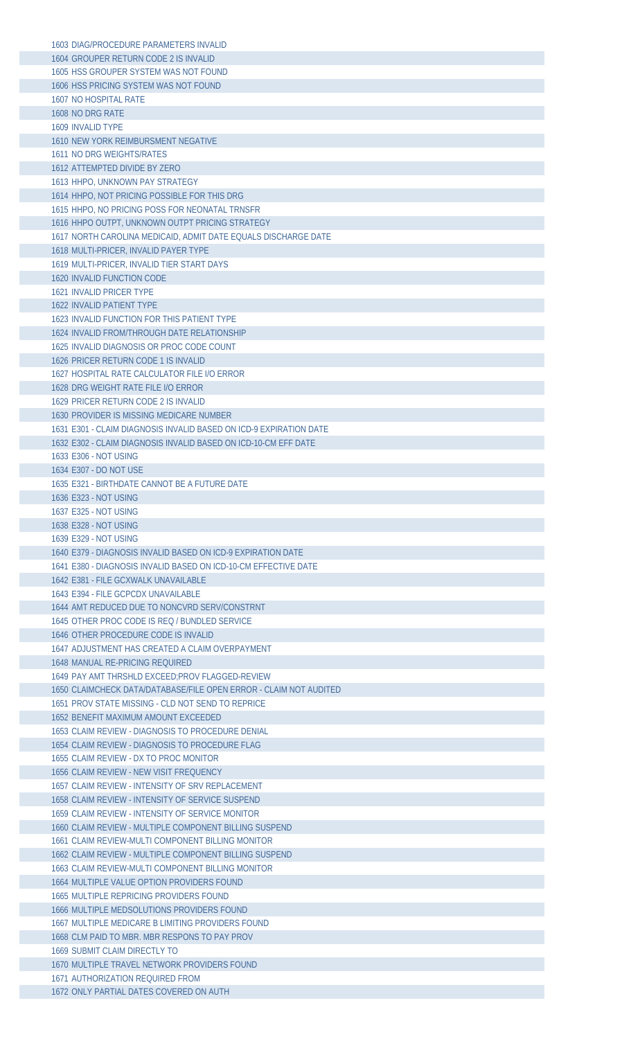| 1603 DIAG/PROCEDURE PARAMETERS INVALID                                             |
|------------------------------------------------------------------------------------|
| 1604 GROUPER RETURN CODE 2 IS INVALID                                              |
| 1605 HSS GROUPER SYSTEM WAS NOT FOUND                                              |
| 1606 HSS PRICING SYSTEM WAS NOT FOUND                                              |
| 1607 NO HOSPITAL RATE                                                              |
| 1608 NO DRG RATE                                                                   |
| 1609 INVALID TYPE                                                                  |
|                                                                                    |
| 1610 NEW YORK REIMBURSMENT NEGATIVE                                                |
| 1611 NO DRG WEIGHTS/RATES                                                          |
| 1612 ATTEMPTED DIVIDE BY ZERO                                                      |
| 1613 HHPO, UNKNOWN PAY STRATEGY                                                    |
| 1614 HHPO, NOT PRICING POSSIBLE FOR THIS DRG                                       |
| 1615 HHPO, NO PRICING POSS FOR NEONATAL TRNSFR                                     |
| 1616 HHPO OUTPT, UNKNOWN OUTPT PRICING STRATEGY                                    |
| 1617 NORTH CAROLINA MEDICAID, ADMIT DATE EQUALS DISCHARGE DATE                     |
| 1618 MULTI-PRICER, INVALID PAYER TYPE                                              |
| 1619 MULTI-PRICER, INVALID TIER START DAYS                                         |
| 1620 INVALID FUNCTION CODE                                                         |
| <b>1621 INVALID PRICER TYPE</b>                                                    |
|                                                                                    |
| <b>1622 INVALID PATIENT TYPE</b>                                                   |
| 1623 INVALID FUNCTION FOR THIS PATIENT TYPE                                        |
| 1624 INVALID FROM/THROUGH DATE RELATIONSHIP                                        |
| 1625 INVALID DIAGNOSIS OR PROC CODE COUNT                                          |
| 1626 PRICER RETURN CODE 1 IS INVALID                                               |
| 1627 HOSPITAL RATE CALCULATOR FILE I/O ERROR                                       |
| 1628 DRG WEIGHT RATE FILE I/O ERROR                                                |
| 1629 PRICER RETURN CODE 2 IS INVALID                                               |
| 1630 PROVIDER IS MISSING MEDICARE NUMBER                                           |
| 1631 E301 - CLAIM DIAGNOSIS INVALID BASED ON ICD-9 EXPIRATION DATE                 |
| 1632 E302 - CLAIM DIAGNOSIS INVALID BASED ON ICD-10-CM EFF DATE                    |
|                                                                                    |
| 1633 E306 - NOT USING                                                              |
| 1634 E307 - DO NOT USE                                                             |
| 1635 E321 - BIRTHDATE CANNOT BE A FUTURE DATE                                      |
| 1636 E323 - NOT USING                                                              |
| 1637 E325 - NOT USING                                                              |
| 1638 E328 - NOT USING                                                              |
| 1639 E329 - NOT USING                                                              |
|                                                                                    |
| 1640 E379 - DIAGNOSIS INVALID BASED ON ICD-9 EXPIRATION DATE                       |
| 1641 E380 - DIAGNOSIS INVALID BASED ON ICD-10-CM EFFECTIVE DATE                    |
|                                                                                    |
| 1642 E381 - FILE GCXWALK UNAVAILABLE                                               |
| 1643 E394 - FILE GCPCDX UNAVAILABLE                                                |
| 1644 AMT REDUCED DUE TO NONCVRD SERV/CONSTRNT                                      |
| 1645 OTHER PROC CODE IS REQ / BUNDLED SERVICE                                      |
| 1646 OTHER PROCEDURE CODE IS INVALID                                               |
| 1647 ADJUSTMENT HAS CREATED A CLAIM OVERPAYMENT                                    |
| 1648 MANUAL RE-PRICING REQUIRED                                                    |
| 1649 PAY AMT THRSHLD EXCEED:PROV FLAGGED-REVIEW                                    |
| 1650 CLAIMCHECK DATA/DATABASE/FILE OPEN ERROR - CLAIM NOT AUDITED                  |
| 1651 PROV STATE MISSING - CLD NOT SEND TO REPRICE                                  |
| 1652 BENEFIT MAXIMUM AMOUNT EXCEEDED                                               |
| 1653 CLAIM REVIEW - DIAGNOSIS TO PROCEDURE DENIAL                                  |
| 1654 CLAIM REVIEW - DIAGNOSIS TO PROCEDURE FLAG                                    |
| 1655 CLAIM REVIEW - DX TO PROC MONITOR                                             |
|                                                                                    |
| 1656 CLAIM REVIEW - NEW VISIT FREQUENCY                                            |
| 1657 CLAIM REVIEW - INTENSITY OF SRV REPLACEMENT                                   |
| 1658 CLAIM REVIEW - INTENSITY OF SERVICE SUSPEND                                   |
| 1659 CLAIM REVIEW - INTENSITY OF SERVICE MONITOR                                   |
| 1660 CLAIM REVIEW - MULTIPLE COMPONENT BILLING SUSPEND                             |
| 1661 CLAIM REVIEW-MULTI COMPONENT BILLING MONITOR                                  |
| 1662 CLAIM REVIEW - MULTIPLE COMPONENT BILLING SUSPEND                             |
| 1663 CLAIM REVIEW-MULTI COMPONENT BILLING MONITOR                                  |
| 1664 MULTIPLE VALUE OPTION PROVIDERS FOUND                                         |
| 1665 MULTIPLE REPRICING PROVIDERS FOUND                                            |
| 1666 MULTIPLE MEDSOLUTIONS PROVIDERS FOUND                                         |
| 1667 MULTIPLE MEDICARE B LIMITING PROVIDERS FOUND                                  |
|                                                                                    |
| 1668 CLM PAID TO MBR. MBR RESPONS TO PAY PROV                                      |
| 1669 SUBMIT CLAIM DIRECTLY TO                                                      |
| 1670 MULTIPLE TRAVEL NETWORK PROVIDERS FOUND                                       |
| <b>1671 AUTHORIZATION REQUIRED FROM</b><br>1672 ONLY PARTIAL DATES COVERED ON AUTH |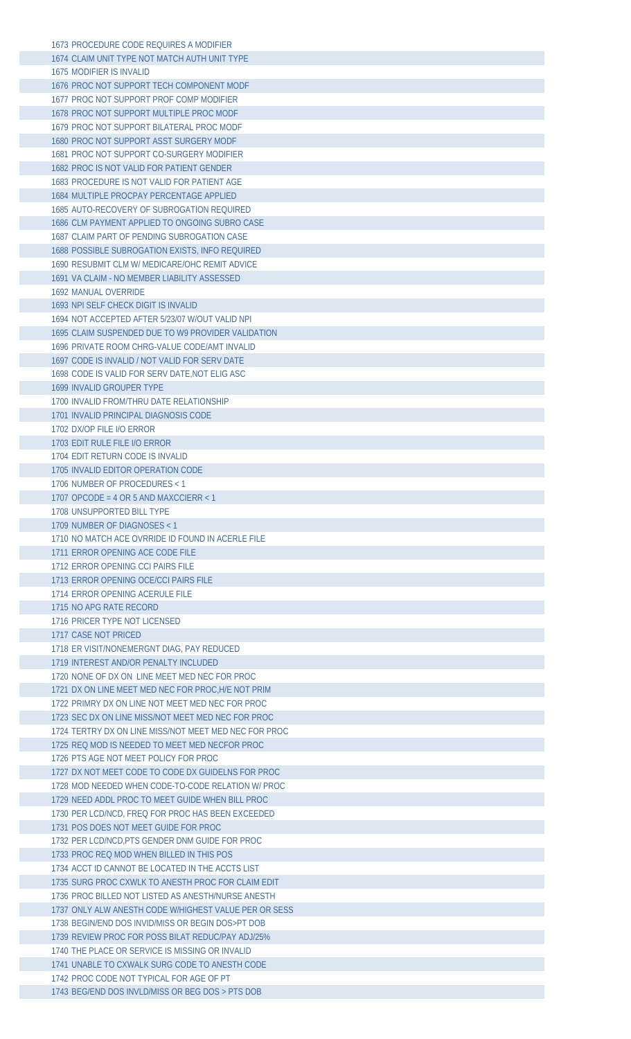| 1674 CLAIM UNIT TYPE NOT MATCH AUTH UNIT TYPE         |  |
|-------------------------------------------------------|--|
|                                                       |  |
| 1675 MODIFIER IS INVALID                              |  |
| 1676 PROC NOT SUPPORT TECH COMPONENT MODE             |  |
| 1677 PROC NOT SUPPORT PROF COMP MODIFIER              |  |
| 1678 PROC NOT SUPPORT MULTIPLE PROC MODF              |  |
| 1679 PROC NOT SUPPORT BILATERAL PROC MODF             |  |
|                                                       |  |
| 1680 PROC NOT SUPPORT ASST SURGERY MODF               |  |
| 1681 PROC NOT SUPPORT CO-SURGERY MODIFIER             |  |
| 1682 PROC IS NOT VALID FOR PATIENT GENDER             |  |
| 1683 PROCEDURE IS NOT VALID FOR PATIENT AGE           |  |
| 1684 MULTIPLE PROCPAY PERCENTAGE APPLIED              |  |
| 1685 AUTO-RECOVERY OF SUBROGATION REQUIRED            |  |
| 1686 CLM PAYMENT APPLIED TO ONGOING SUBRO CASE        |  |
| 1687 CLAIM PART OF PENDING SUBROGATION CASE           |  |
| 1688 POSSIBLE SUBROGATION EXISTS. INFO REQUIRED       |  |
| 1690 RESUBMIT CLM W/ MEDICARE/OHC REMIT ADVICE        |  |
| 1691 VA CLAIM - NO MEMBER LIABILITY ASSESSED          |  |
| 1692 MANUAL OVERRIDE                                  |  |
| 1693 NPI SELF CHECK DIGIT IS INVALID                  |  |
|                                                       |  |
| 1694 NOT ACCEPTED AFTER 5/23/07 W/OUT VALID NPL       |  |
| 1695 CLAIM SUSPENDED DUE TO W9 PROVIDER VALIDATION    |  |
| 1696 PRIVATE ROOM CHRG-VALUE CODE/AMT INVALID         |  |
| 1697 CODE IS INVALID / NOT VALID FOR SERV DATE        |  |
| 1698 CODE IS VALID FOR SERV DATE, NOT ELIG ASC        |  |
| 1699 INVALID GROUPER TYPE                             |  |
| 1700 INVALID FROM/THRU DATE RELATIONSHIP              |  |
| 1701 INVALID PRINCIPAL DIAGNOSIS CODE                 |  |
| 1702 DX/OP FILE I/O ERROR                             |  |
| 1703 EDIT RULE FILE I/O ERROR                         |  |
| 1704 EDIT RETURN CODE IS INVALID                      |  |
| 1705 INVALID EDITOR OPERATION CODE                    |  |
| 1706 NUMBER OF PROCEDURES < 1                         |  |
| 1707 OPCODE = 4 OR 5 AND MAXCCIERR < 1                |  |
|                                                       |  |
| 1708 UNSUPPORTED BILL TYPE                            |  |
| 1709 NUMBER OF DIAGNOSES < 1                          |  |
| 1710 NO MATCH ACE OVRRIDE ID FOUND IN ACERLE FILE     |  |
| 1711 ERROR OPENING ACE CODE FILE                      |  |
|                                                       |  |
| 1712 ERROR OPENING CCI PAIRS FILE                     |  |
| 1713 ERROR OPENING OCE/CCI PAIRS FILE                 |  |
| 1714 ERROR OPENING ACERULE FILE                       |  |
| 1715 NO APG RATE RECORD                               |  |
| 1716 PRICER TYPE NOT LICENSED                         |  |
|                                                       |  |
| 1717 CASE NOT PRICED                                  |  |
| 1718 ER VISIT/NONEMERGNT DIAG, PAY REDUCED            |  |
| 1719 INTEREST AND/OR PENALTY INCLUDED                 |  |
| 1720 NONE OF DX ON LINE MEET MED NEC FOR PROC         |  |
| 1721 DX ON LINE MEET MED NEC FOR PROC, H/E NOT PRIM   |  |
| 1722 PRIMRY DX ON LINE NOT MEET MED NEC FOR PROC      |  |
| 1723 SEC DX ON LINE MISS/NOT MEET MED NEC FOR PROC    |  |
| 1724 TERTRY DX ON LINE MISS/NOT MEET MED NEC FOR PROC |  |
| 1725 REQ MOD IS NEEDED TO MEET MED NECFOR PROC        |  |
| 1726 PTS AGE NOT MEET POLICY FOR PROC                 |  |
| 1727 DX NOT MEET CODE TO CODE DX GUIDELNS FOR PROC    |  |
| 1728 MOD NEEDED WHEN CODE-TO-CODE RELATION W/ PROC    |  |
| 1729 NEED ADDL PROC TO MEET GUIDE WHEN BILL PROC      |  |
| 1730 PER LCD/NCD, FREQ FOR PROC HAS BEEN EXCEEDED     |  |
|                                                       |  |
| 1731 POS DOES NOT MEET GUIDE FOR PROC                 |  |
| 1732 PER LCD/NCD, PTS GENDER DNM GUIDE FOR PROC       |  |
| 1733 PROC REQ MOD WHEN BILLED IN THIS POS             |  |
| 1734 ACCT ID CANNOT BE LOCATED IN THE ACCTS LIST      |  |
| 1735 SURG PROC CXWLK TO ANESTH PROC FOR CLAIM EDIT    |  |
| 1736 PROC BILLED NOT LISTED AS ANESTH/NURSE ANESTH    |  |
| 1737 ONLY ALW ANESTH CODE W/HIGHEST VALUE PER OR SESS |  |
| 1738 BEGIN/END DOS INVID/MISS OR BEGIN DOS>PT DOB     |  |
| 1739 REVIEW PROC FOR POSS BILAT REDUC/PAY ADJ/25%     |  |
| 1740 THE PLACE OR SERVICE IS MISSING OR INVALID       |  |
| 1741 UNABLE TO CXWALK SURG CODE TO ANESTH CODE        |  |
| 1742 PROC CODE NOT TYPICAL FOR AGE OF PT              |  |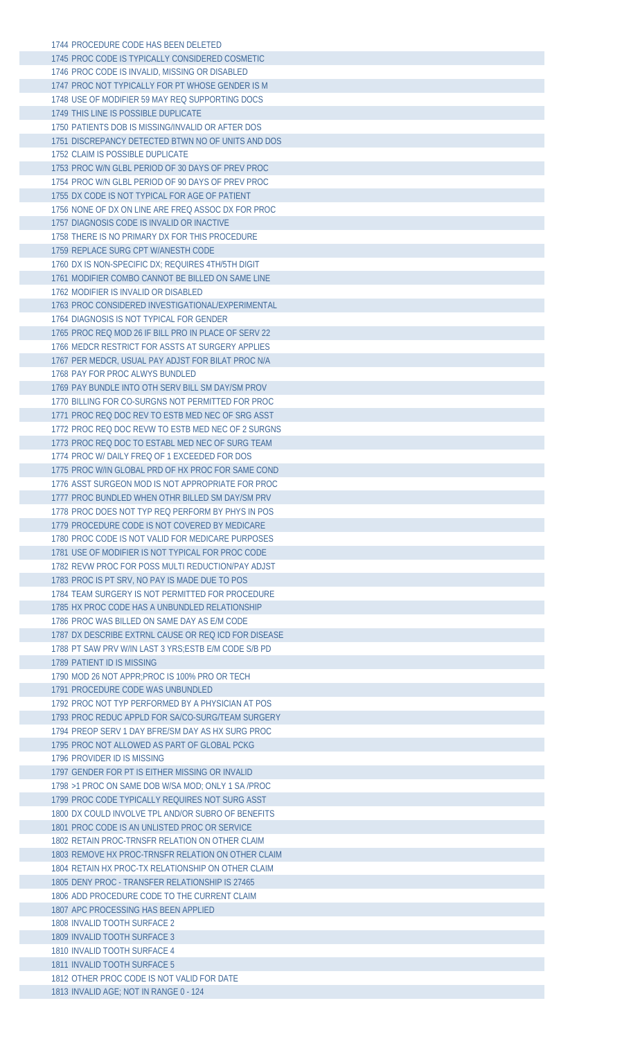| 1744 PROCEDURE CODE HAS BEEN DELETED                                                 |
|--------------------------------------------------------------------------------------|
| 1745 PROC CODE IS TYPICALLY CONSIDERED COSMETIC                                      |
| 1746 PROC CODE IS INVALID, MISSING OR DISABLED                                       |
| 1747 PROC NOT TYPICALLY FOR PT WHOSE GENDER IS M                                     |
|                                                                                      |
| 1748 USE OF MODIFIER 59 MAY REQ SUPPORTING DOCS                                      |
| 1749 THIS LINE IS POSSIBLE DUPLICATE                                                 |
| 1750 PATIENTS DOB IS MISSING/INVALID OR AFTER DOS                                    |
| 1751 DISCREPANCY DETECTED BTWN NO OF UNITS AND DOS                                   |
| 1752 CLAIM IS POSSIBLE DUPLICATE                                                     |
|                                                                                      |
| 1753 PROC W/N GLBL PERIOD OF 30 DAYS OF PREV PROC                                    |
| 1754 PROC W/N GLBL PERIOD OF 90 DAYS OF PREV PROC                                    |
| 1755 DX CODE IS NOT TYPICAL FOR AGE OF PATIENT                                       |
| 1756 NONE OF DX ON LINE ARE FREQ ASSOC DX FOR PROC                                   |
| 1757 DIAGNOSIS CODE IS INVALID OR INACTIVE                                           |
|                                                                                      |
| 1758 THERE IS NO PRIMARY DX FOR THIS PROCEDURE                                       |
| 1759 REPLACE SURG CPT W/ANESTH CODE                                                  |
| 1760 DX IS NON-SPECIFIC DX; REQUIRES 4TH/5TH DIGIT                                   |
| 1761 MODIFIER COMBO CANNOT BE BILLED ON SAME LINE                                    |
| 1762 MODIFIER IS INVALID OR DISABLED                                                 |
|                                                                                      |
| 1763 PROC CONSIDERED INVESTIGATIONAL/EXPERIMENTAL                                    |
| 1764 DIAGNOSIS IS NOT TYPICAL FOR GENDER                                             |
| 1765 PROC REQ MOD 26 IF BILL PRO IN PLACE OF SERV 22                                 |
| 1766 MEDCR RESTRICT FOR ASSTS AT SURGERY APPLIES                                     |
| 1767 PER MEDCR, USUAL PAY ADJST FOR BILAT PROC N/A                                   |
| 1768 PAY FOR PROC ALWYS BUNDLED                                                      |
|                                                                                      |
| 1769 PAY BUNDLE INTO OTH SERV BILL SM DAY/SM PROV                                    |
| 1770 BILLING FOR CO-SURGNS NOT PERMITTED FOR PROC                                    |
| 1771 PROC REQ DOC REV TO ESTB MED NEC OF SRG ASST                                    |
| 1772 PROC REQ DOC REVW TO ESTB MED NEC OF 2 SURGNS                                   |
| 1773 PROC REQ DOC TO ESTABL MED NEC OF SURG TEAM                                     |
|                                                                                      |
| 1774 PROC W/DAILY FREQ OF 1 EXCEEDED FOR DOS                                         |
| 1775 PROC W/IN GLOBAL PRD OF HX PROC FOR SAME COND                                   |
| 1776 ASST SURGEON MOD IS NOT APPROPRIATE FOR PROC                                    |
| 1777 PROC BUNDLED WHEN OTHR BILLED SM DAY/SM PRV                                     |
| 1778 PROC DOES NOT TYP REO PERFORM BY PHYS IN POS                                    |
|                                                                                      |
| 1779 PROCEDURE CODE IS NOT COVERED BY MEDICARE                                       |
| 1780 PROC CODE IS NOT VALID FOR MEDICARE PURPOSES                                    |
| 1781 USE OF MODIFIER IS NOT TYPICAL FOR PROC CODE                                    |
| 1782 REVW PROC FOR POSS MULTI REDUCTION/PAY ADJST                                    |
| 1783 PROC IS PT SRV, NO PAY IS MADE DUE TO POS                                       |
|                                                                                      |
| 1784 TEAM SURGERY IS NOT PERMITTED FOR PROCEDURE                                     |
| 1785 HX PROC CODE HAS A UNBUNDLED RELATIONSHIP                                       |
| 1786 PROC WAS BILLED ON SAME DAY AS E/M CODE                                         |
| 1787 DX DESCRIBE EXTRNL CAUSE OR REO ICD FOR DISEASE                                 |
|                                                                                      |
| 1788 PT SAW PRV W/IN LAST 3 YRS: ESTB E/M CODE S/B PD                                |
| 1789 PATIENT ID IS MISSING                                                           |
| 1790 MOD 26 NOT APPR: PROC IS 100% PRO OR TECH                                       |
| 1791 PROCEDURE CODE WAS UNBUNDLED                                                    |
| 1792 PROC NOT TYP PERFORMED BY A PHYSICIAN AT POS                                    |
|                                                                                      |
| 1793 PROC REDUC APPLD FOR SA/CO-SURG/TEAM SURGERY                                    |
| 1794 PREOP SERV 1 DAY BFRE/SM DAY AS HX SURG PROC                                    |
| 1795 PROC NOT ALLOWED AS PART OF GLOBAL PCKG                                         |
| 1796 PROVIDER ID IS MISSING                                                          |
| 1797 GENDER FOR PT IS EITHER MISSING OR INVALID                                      |
|                                                                                      |
| 1798 >1 PROC ON SAME DOB W/SA MOD; ONLY 1 SA /PROC                                   |
| 1799 PROC CODE TYPICALLY REQUIRES NOT SURG ASST                                      |
| 1800 DX COULD INVOLVE TPL AND/OR SUBRO OF BENEFITS                                   |
| 1801 PROC CODE IS AN UNLISTED PROC OR SERVICE                                        |
| 1802 RETAIN PROC-TRNSFR RELATION ON OTHER CLAIM                                      |
|                                                                                      |
| 1803 REMOVE HX PROC-TRNSFR RELATION ON OTHER CLAIM                                   |
| 1804 RETAIN HX PROC-TX RELATIONSHIP ON OTHER CLAIM                                   |
| 1805 DENY PROC - TRANSFER RELATIONSHIP IS 27465                                      |
| 1806 ADD PROCEDURE CODE TO THE CURRENT CLAIM                                         |
|                                                                                      |
| 1807 APC PROCESSING HAS BEEN APPLIED                                                 |
| 1808 INVALID TOOTH SURFACE 2                                                         |
| 1809 INVALID TOOTH SURFACE 3                                                         |
| 1810 INVALID TOOTH SURFACE 4                                                         |
|                                                                                      |
|                                                                                      |
| 1811 INVALID TOOTH SURFACE 5                                                         |
| 1812 OTHER PROC CODE IS NOT VALID FOR DATE<br>1813 INVALID AGE; NOT IN RANGE 0 - 124 |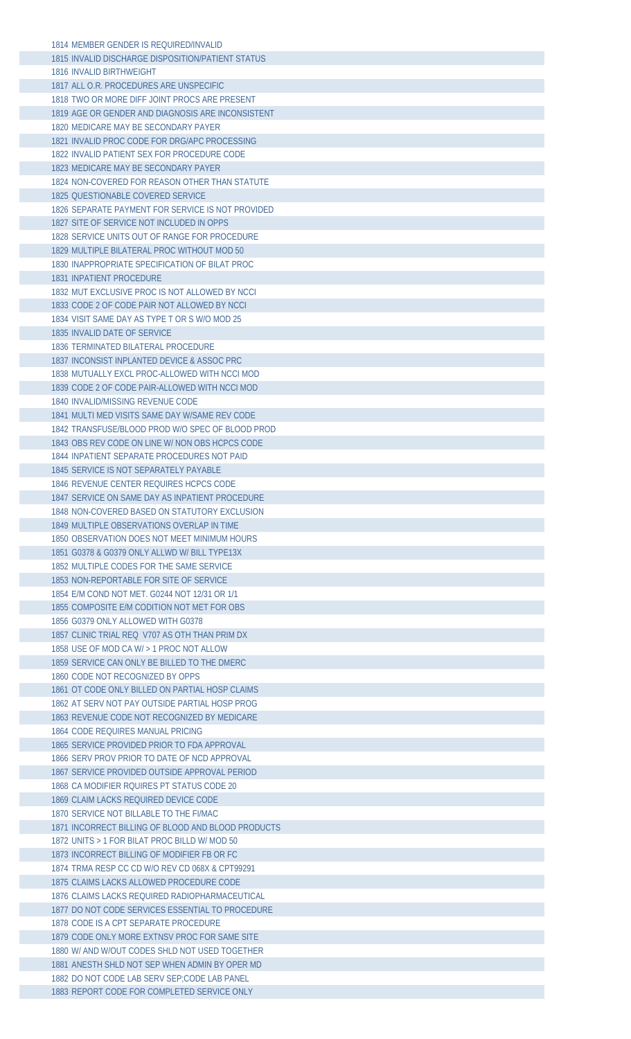| 1814 MEMBER GENDER IS REQUIRED/INVALID                                                      |
|---------------------------------------------------------------------------------------------|
| 1815 INVALID DISCHARGE DISPOSITION/PATIENT STATUS                                           |
| 1816 INVALID BIRTHWEIGHT                                                                    |
| 1817 ALL O.R. PROCEDURES ARE UNSPECIFIC                                                     |
| 1818 TWO OR MORE DIFF JOINT PROCS ARE PRESENT                                               |
| 1819 AGE OR GENDER AND DIAGNOSIS ARE INCONSISTENT                                           |
| 1820 MEDICARE MAY BE SECONDARY PAYER                                                        |
| 1821 INVALID PROC CODE FOR DRG/APC PROCESSING                                               |
|                                                                                             |
| 1822 INVALID PATIENT SEX FOR PROCEDURE CODE                                                 |
| 1823 MEDICARE MAY BE SECONDARY PAYER                                                        |
| 1824 NON-COVERED FOR REASON OTHER THAN STATUTE                                              |
| 1825 QUESTIONABLE COVERED SERVICE                                                           |
| 1826 SEPARATE PAYMENT FOR SERVICE IS NOT PROVIDED                                           |
| 1827 SITE OF SERVICE NOT INCLUDED IN OPPS                                                   |
| 1828 SERVICE UNITS OUT OF RANGE FOR PROCEDURE                                               |
| 1829 MULTIPLE BILATERAL PROC WITHOUT MOD 50                                                 |
| 1830 INAPPROPRIATE SPECIFICATION OF BILAT PROC                                              |
| 1831 INPATIENT PROCEDURE                                                                    |
| 1832 MUT EXCLUSIVE PROC IS NOT ALLOWED BY NCCL                                              |
| 1833 CODE 2 OF CODE PAIR NOT ALLOWED BY NCCL                                                |
| 1834 VISIT SAME DAY AS TYPE T OR S W/O MOD 25                                               |
| 1835 INVALID DATE OF SERVICE                                                                |
|                                                                                             |
| 1836 TERMINATED BILATERAL PROCEDURE                                                         |
| 1837 INCONSIST INPLANTED DEVICE & ASSOC PRC                                                 |
| 1838 MUTUALLY EXCL PROC-ALLOWED WITH NCCI MOD                                               |
| 1839 CODE 2 OF CODE PAIR-ALLOWED WITH NCCI MOD                                              |
| 1840 INVALID/MISSING REVENUE CODE                                                           |
| 1841 MULTI MED VISITS SAME DAY W/SAME REV CODE                                              |
| 1842 TRANSFUSE/BLOOD PROD W/O SPEC OF BLOOD PROD                                            |
| 1843 OBS REV CODE ON LINE W/ NON OBS HCPCS CODE                                             |
| 1844 INPATIENT SEPARATE PROCEDURES NOT PAID                                                 |
| 1845 SERVICE IS NOT SEPARATELY PAYABLE                                                      |
| 1846 REVENUE CENTER REQUIRES HCPCS CODE                                                     |
| 1847 SERVICE ON SAME DAY AS INPATIENT PROCEDURE                                             |
| 1848 NON-COVERED BASED ON STATUTORY EXCLUSION                                               |
|                                                                                             |
| 1849 MULTIPLE OBSERVATIONS OVERLAP IN TIME                                                  |
| 1850 OBSERVATION DOES NOT MEET MINIMUM HOURS                                                |
|                                                                                             |
| 1851 G0378 & G0379 ONLY ALLWD W/ BILL TYPE13X                                               |
| 1852 MULTIPLE CODES FOR THE SAME SERVICE                                                    |
| 1853 NON-REPORTABLE FOR SITE OF SERVICE                                                     |
| 1854 E/M COND NOT MET. G0244 NOT 12/31 OR 1/1                                               |
| 1855 COMPOSITE E/M CODITION NOT MET FOR OBS                                                 |
| 1856 G0379 ONLY ALLOWED WITH G0378                                                          |
| 1857 CLINIC TRIAL REQ V707 AS OTH THAN PRIM DX                                              |
| 1858 USE OF MOD CA W/ > 1 PROC NOT ALLOW                                                    |
| 1859 SERVICE CAN ONLY BE BILLED TO THE DMERC                                                |
|                                                                                             |
| 1860 CODE NOT RECOGNIZED BY OPPS                                                            |
| 1861 OT CODE ONLY BILLED ON PARTIAL HOSP CLAIMS                                             |
| 1862 AT SERV NOT PAY OUTSIDE PARTIAL HOSP PROG                                              |
| 1863 REVENUE CODE NOT RECOGNIZED BY MEDICARE                                                |
| 1864 CODE REOUIRES MANUAL PRICING                                                           |
| 1865 SERVICE PROVIDED PRIOR TO FDA APPROVAL                                                 |
| 1866 SERV PROV PRIOR TO DATE OF NCD APPROVAL                                                |
| 1867 SERVICE PROVIDED OUTSIDE APPROVAL PERIOD                                               |
| 1868 CA MODIFIER ROUIRES PT STATUS CODE 20                                                  |
| 1869 CLAIM LACKS REQUIRED DEVICE CODE                                                       |
| 1870 SERVICE NOT BILLABLE TO THE FI/MAC                                                     |
| 1871 INCORRECT BILLING OF BLOOD AND BLOOD PRODUCTS                                          |
| 1872 UNITS > 1 FOR BILAT PROC BILLD W/ MOD 50                                               |
| 1873 INCORRECT BILLING OF MODIFIER FB OR FC                                                 |
| 1874 TRMA RESP CC CD W/O REV CD 068X & CPT99291                                             |
| 1875 CLAIMS LACKS ALLOWED PROCEDURE CODE                                                    |
|                                                                                             |
| 1876 CLAIMS LACKS REQUIRED RADIOPHARMACEUTICAL                                              |
| 1877 DO NOT CODE SERVICES ESSENTIAL TO PROCEDURE                                            |
| 1878 CODE IS A CPT SEPARATE PROCEDURE                                                       |
| 1879 CODE ONLY MORE EXTNSV PROC FOR SAME SITE                                               |
| 1880 W/ AND W/OUT CODES SHLD NOT USED TOGETHER                                              |
| 1881 ANESTH SHLD NOT SEP WHEN ADMIN BY OPER MD                                              |
| 1882 DO NOT CODE LAB SERV SEP;CODE LAB PANEL<br>1883 REPORT CODE FOR COMPLETED SERVICE ONLY |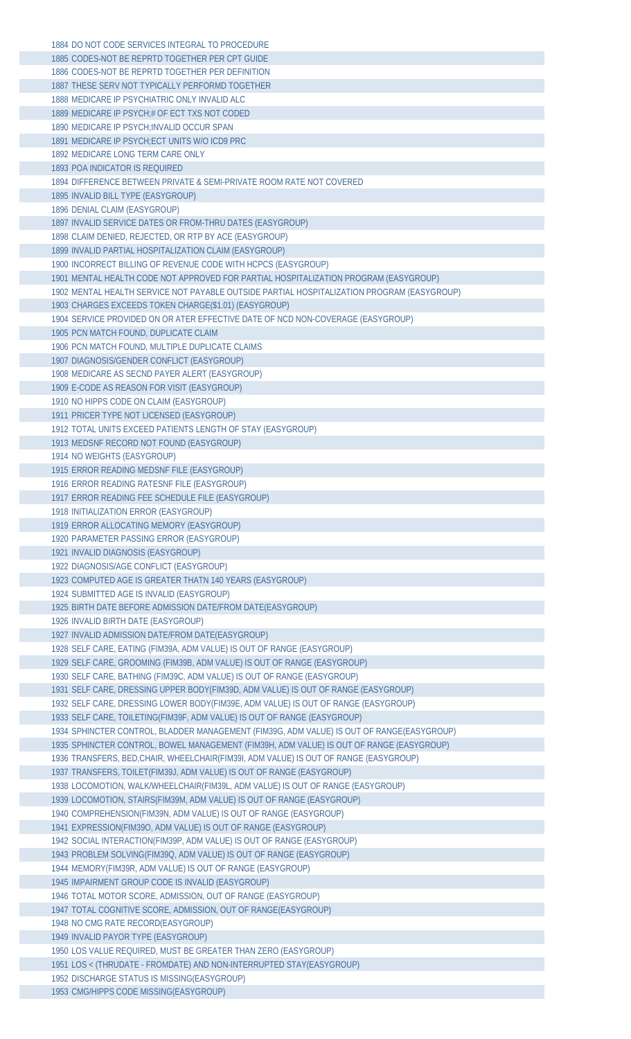| 1884 DO NOT CODE SERVICES INTEGRAL TO PROCEDURE                                            |
|--------------------------------------------------------------------------------------------|
| 1885 CODES-NOT BE REPRTD TOGETHER PER CPT GUIDE                                            |
| 1886 CODES-NOT BE REPRTD TOGETHER PER DEFINITION                                           |
| 1887 THESE SERV NOT TYPICALLY PERFORMD TOGETHER                                            |
| 1888 MEDICARE IP PSYCHIATRIC ONLY INVALID ALC                                              |
| 1889 MEDICARE IP PSYCH;# OF ECT TXS NOT CODED                                              |
| 1890 MEDICARE IP PSYCH; INVALID OCCUR SPAN                                                 |
| 1891 MEDICARE IP PSYCH; ECT UNITS W/O ICD9 PRC                                             |
| 1892 MEDICARE LONG TERM CARE ONLY                                                          |
|                                                                                            |
| 1893 POA INDICATOR IS REQUIRED                                                             |
| 1894 DIFFERENCE BETWEEN PRIVATE & SEMI-PRIVATE ROOM RATE NOT COVERED                       |
| 1895 INVALID BILL TYPE (EASYGROUP)                                                         |
| 1896 DENIAL CLAIM (EASYGROUP)                                                              |
| 1897 INVALID SERVICE DATES OR FROM-THRU DATES (EASYGROUP)                                  |
| 1898 CLAIM DENIED, REJECTED, OR RTP BY ACE (EASYGROUP)                                     |
| 1899 INVALID PARTIAL HOSPITALIZATION CLAIM (EASYGROUP)                                     |
| 1900 INCORRECT BILLING OF REVENUE CODE WITH HCPCS (EASYGROUP)                              |
| 1901 MENTAL HEALTH CODE NOT APPROVED FOR PARTIAL HOSPITALIZATION PROGRAM (EASYGROUP)       |
| 1902 MENTAL HEALTH SERVICE NOT PAYABLE OUTSIDE PARTIAL HOSPITALIZATION PROGRAM (EASYGROUP) |
| 1903 CHARGES EXCEEDS TOKEN CHARGE(\$1.01) (EASYGROUP)                                      |
| 1904 SERVICE PROVIDED ON OR ATER EFFECTIVE DATE OF NCD NON-COVERAGE (EASYGROUP)            |
|                                                                                            |
| 1905 PCN MATCH FOUND, DUPLICATE CLAIM                                                      |
| 1906 PCN MATCH FOUND, MULTIPLE DUPLICATE CLAIMS                                            |
| 1907 DIAGNOSIS/GENDER CONFLICT (EASYGROUP)                                                 |
| 1908 MEDICARE AS SECND PAYER ALERT (EASYGROUP)                                             |
| 1909 E-CODE AS REASON FOR VISIT (EASYGROUP)                                                |
| 1910 NO HIPPS CODE ON CLAIM (EASYGROUP)                                                    |
| 1911 PRICER TYPE NOT LICENSED (EASYGROUP)                                                  |
| 1912 TOTAL UNITS EXCEED PATIENTS LENGTH OF STAY (EASYGROUP)                                |
| 1913 MEDSNF RECORD NOT FOUND (EASYGROUP)                                                   |
| 1914 NO WEIGHTS (EASYGROUP)                                                                |
| 1915 ERROR READING MEDSNF FILE (EASYGROUP)                                                 |
| 1916 ERROR READING RATESNF FILE (EASYGROUP)                                                |
| 1917 ERROR READING FEE SCHEDULE FILE (EASYGROUP)                                           |
|                                                                                            |
|                                                                                            |
| 1918 INITIALIZATION ERROR (EASYGROUP)                                                      |
| 1919 ERROR ALLOCATING MEMORY (EASYGROUP)                                                   |
| 1920 PARAMETER PASSING ERROR (EASYGROUP)                                                   |
| 1921 INVALID DIAGNOSIS (EASYGROUP)                                                         |
| 1922 DIAGNOSIS/AGE CONFLICT (EASYGROUP)                                                    |
| 1923 COMPUTED AGE IS GREATER THATN 140 YEARS (EASYGROUP)                                   |
| 1924 SUBMITTED AGE IS INVALID (EASYGROUP)                                                  |
| 1925 BIRTH DATE BEFORE ADMISSION DATE/FROM DATE(EASYGROUP)                                 |
| 1926 INVALID BIRTH DATE (EASYGROUP)                                                        |
|                                                                                            |
| 1927 INVALID ADMISSION DATE/FROM DATE(EASYGROUP)                                           |
| 1928 SELF CARE, EATING (FIM39A, ADM VALUE) IS OUT OF RANGE (EASYGROUP)                     |
| 1929 SELF CARE, GROOMING (FIM39B, ADM VALUE) IS OUT OF RANGE (EASYGROUP)                   |
| 1930 SELF CARE, BATHING (FIM39C, ADM VALUE) IS OUT OF RANGE (EASYGROUP)                    |
| 1931 SELF CARE, DRESSING UPPER BODY(FIM39D, ADM VALUE) IS OUT OF RANGE (EASYGROUP)         |
| 1932 SELF CARE, DRESSING LOWER BODY(FIM39E, ADM VALUE) IS OUT OF RANGE (EASYGROUP)         |
| 1933 SELF CARE, TOILETING(FIM39F, ADM VALUE) IS OUT OF RANGE (EASYGROUP)                   |
| 1934 SPHINCTER CONTROL, BLADDER MANAGEMENT (FIM39G, ADM VALUE) IS OUT OF RANGE(EASYGROUP)  |
| 1935 SPHINCTER CONTROL, BOWEL MANAGEMENT (FIM39H, ADM VALUE) IS OUT OF RANGE (EASYGROUP)   |
| 1936 TRANSFERS, BED, CHAIR, WHEELCHAIR (FIM39I, ADM VALUE) IS OUT OF RANGE (EASYGROUP)     |
| 1937 TRANSFERS, TOILET (FIM39J, ADM VALUE) IS OUT OF RANGE (EASYGROUP)                     |
| 1938 LOCOMOTION, WALK/WHEELCHAIR(FIM39L, ADM VALUE) IS OUT OF RANGE (EASYGROUP)            |
| 1939 LOCOMOTION, STAIRS (FIM39M, ADM VALUE) IS OUT OF RANGE (EASYGROUP)                    |
| 1940 COMPREHENSION(FIM39N, ADM VALUE) IS OUT OF RANGE (EASYGROUP)                          |
| 1941 EXPRESSION(FIM39O, ADM VALUE) IS OUT OF RANGE (EASYGROUP)                             |
| 1942 SOCIAL INTERACTION(FIM39P, ADM VALUE) IS OUT OF RANGE (EASYGROUP)                     |
|                                                                                            |
| 1943 PROBLEM SOLVING(FIM39Q, ADM VALUE) IS OUT OF RANGE (EASYGROUP)                        |
| 1944 MEMORY (FIM39R, ADM VALUE) IS OUT OF RANGE (EASYGROUP)                                |
| 1945 IMPAIRMENT GROUP CODE IS INVALID (EASYGROUP)                                          |
| 1946 TOTAL MOTOR SCORE, ADMISSION, OUT OF RANGE (EASYGROUP)                                |
| 1947 TOTAL COGNITIVE SCORE, ADMISSION, OUT OF RANGE(EASYGROUP)                             |
| 1948 NO CMG RATE RECORD(EASYGROUP)                                                         |
| 1949 INVALID PAYOR TYPE (EASYGROUP)                                                        |
| 1950 LOS VALUE REQUIRED, MUST BE GREATER THAN ZERO (EASYGROUP)                             |
| 1951 LOS < (THRUDATE - FROMDATE) AND NON-INTERRUPTED STAY(EASYGROUP)                       |
| 1952 DISCHARGE STATUS IS MISSING(EASYGROUP)<br>1953 CMG/HIPPS CODE MISSING(EASYGROUP)      |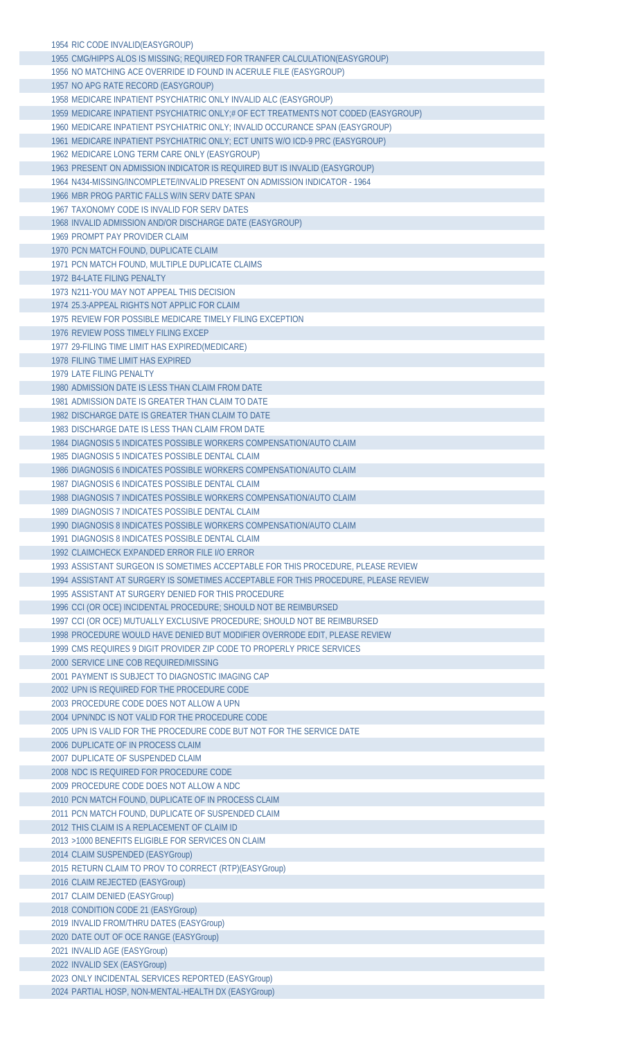| 1954 RIC CODE INVALID (EASYGROUP)                                                   |
|-------------------------------------------------------------------------------------|
| 1955 CMG/HIPPS ALOS IS MISSING; REQUIRED FOR TRANFER CALCULATION(EASYGROUP)         |
| 1956 NO MATCHING ACE OVERRIDE ID FOUND IN ACERULE FILE (EASYGROUP)                  |
| 1957 NO APG RATE RECORD (EASYGROUP)                                                 |
| 1958 MEDICARE INPATIENT PSYCHIATRIC ONLY INVALID ALC (EASYGROUP)                    |
| 1959 MEDICARE INPATIENT PSYCHIATRIC ONLY;# OF ECT TREATMENTS NOT CODED (EASYGROUP)  |
| 1960 MEDICARE INPATIENT PSYCHIATRIC ONLY; INVALID OCCURANCE SPAN (EASYGROUP)        |
| 1961 MEDICARE INPATIENT PSYCHIATRIC ONLY; ECT UNITS W/O ICD-9 PRC (EASYGROUP)       |
| 1962 MEDICARE LONG TERM CARE ONLY (EASYGROUP)                                       |
| 1963 PRESENT ON ADMISSION INDICATOR IS REQUIRED BUT IS INVALID (EASYGROUP)          |
| 1964 N434-MISSING/INCOMPLETE/INVALID PRESENT ON ADMISSION INDICATOR - 1964          |
|                                                                                     |
| 1966 MBR PROG PARTIC FALLS W/IN SERV DATE SPAN                                      |
| 1967 TAXONOMY CODE IS INVALID FOR SERV DATES                                        |
| 1968 INVALID ADMISSION AND/OR DISCHARGE DATE (EASYGROUP)                            |
| 1969 PROMPT PAY PROVIDER CLAIM                                                      |
| 1970 PCN MATCH FOUND, DUPLICATE CLAIM                                               |
| 1971 PCN MATCH FOUND, MULTIPLE DUPLICATE CLAIMS                                     |
| 1972 B4-LATE FILING PENALTY                                                         |
| 1973 N211-YOU MAY NOT APPEAL THIS DECISION                                          |
| 1974 25.3-APPEAL RIGHTS NOT APPLIC FOR CLAIM                                        |
| 1975 REVIEW FOR POSSIBLE MEDICARE TIMELY FILING EXCEPTION                           |
| 1976 REVIEW POSS TIMELY FILING EXCEP                                                |
| 1977 29-FILING TIME LIMIT HAS EXPIRED(MEDICARE)                                     |
| 1978 FILING TIME LIMIT HAS EXPIRED                                                  |
| 1979 LATE FILING PENALTY                                                            |
| 1980 ADMISSION DATE IS LESS THAN CLAIM FROM DATE                                    |
| 1981 ADMISSION DATE IS GREATER THAN CLAIM TO DATE                                   |
| 1982 DISCHARGE DATE IS GREATER THAN CLAIM TO DATE                                   |
| 1983 DISCHARGE DATE IS LESS THAN CLAIM FROM DATE                                    |
| 1984 DIAGNOSIS 5 INDICATES POSSIBLE WORKERS COMPENSATION/AUTO CLAIM                 |
| 1985 DIAGNOSIS 5 INDICATES POSSIBLE DENTAL CLAIM                                    |
| 1986 DIAGNOSIS 6 INDICATES POSSIBLE WORKERS COMPENSATION/AUTO CLAIM                 |
| 1987 DIAGNOSIS 6 INDICATES POSSIBLE DENTAL CLAIM                                    |
| 1988 DIAGNOSIS 7 INDICATES POSSIBLE WORKERS COMPENSATION/AUTO CLAIM                 |
| 1989 DIAGNOSIS 7 INDICATES POSSIBLE DENTAL CLAIM                                    |
| 1990 DIAGNOSIS 8 INDICATES POSSIBLE WORKERS COMPENSATION/AUTO CLAIM                 |
| 1991 DIAGNOSIS 8 INDICATES POSSIBLE DENTAL CLAIM                                    |
| 1992 CLAIMCHECK EXPANDED ERROR FILE I/O ERROR                                       |
| 1993 ASSISTANT SURGEON IS SOMETIMES ACCEPTABLE FOR THIS PROCEDURE, PLEASE REVIEW    |
| 1994 ASSISTANT AT SURGERY IS SOMETIMES ACCEPTABLE FOR THIS PROCEDURE, PLEASE REVIEW |
| 1995 ASSISTANT AT SURGERY DENIED FOR THIS PROCEDURE                                 |
| 1996 CCI (OR OCE) INCIDENTAL PROCEDURE; SHOULD NOT BE REIMBURSED                    |
| 1997 CCI (OR OCE) MUTUALLY EXCLUSIVE PROCEDURE; SHOULD NOT BE REIMBURSED            |
| 1998 PROCEDURE WOULD HAVE DENIED BUT MODIFIER OVERRODE EDIT, PLEASE REVIEW          |
| 1999 CMS REQUIRES 9 DIGIT PROVIDER ZIP CODE TO PROPERLY PRICE SERVICES              |
| 2000 SERVICE LINE COB REQUIRED/MISSING                                              |
| 2001 PAYMENT IS SUBJECT TO DIAGNOSTIC IMAGING CAP                                   |
| 2002 UPN IS REQUIRED FOR THE PROCEDURE CODE                                         |
| 2003 PROCEDURE CODE DOES NOT ALLOW A UPN                                            |
| 2004 UPN/NDC IS NOT VALID FOR THE PROCEDURE CODE                                    |
| 2005 UPN IS VALID FOR THE PROCEDURE CODE BUT NOT FOR THE SERVICE DATE               |
| 2006 DUPLICATE OF IN PROCESS CLAIM                                                  |
| 2007 DUPLICATE OF SUSPENDED CLAIM                                                   |
| 2008 NDC IS REQUIRED FOR PROCEDURE CODE                                             |
| 2009 PROCEDURE CODE DOES NOT ALLOW A NDC                                            |
| 2010 PCN MATCH FOUND, DUPLICATE OF IN PROCESS CLAIM                                 |
| 2011 PCN MATCH FOUND, DUPLICATE OF SUSPENDED CLAIM                                  |
| 2012 THIS CLAIM IS A REPLACEMENT OF CLAIM ID                                        |
| 2013 > 1000 BENEFITS ELIGIBLE FOR SERVICES ON CLAIM                                 |
| 2014 CLAIM SUSPENDED (EASYGroup)                                                    |
| 2015 RETURN CLAIM TO PROV TO CORRECT (RTP)(EASYGroup)                               |
| 2016 CLAIM REJECTED (EASYGroup)                                                     |
| 2017 CLAIM DENIED (EASYGroup)                                                       |
| 2018 CONDITION CODE 21 (EASYGroup)                                                  |
| 2019 INVALID FROM/THRU DATES (EASYGroup)                                            |
| 2020 DATE OUT OF OCE RANGE (EASYGroup)                                              |
| 2021 INVALID AGE (EASYGroup)                                                        |
| 2022 INVALID SEX (EASYGroup)                                                        |
| 2023 ONLY INCIDENTAL SERVICES REPORTED (EASYGroup)                                  |
| 2024 PARTIAL HOSP, NON-MENTAL-HEALTH DX (EASYGroup)                                 |
|                                                                                     |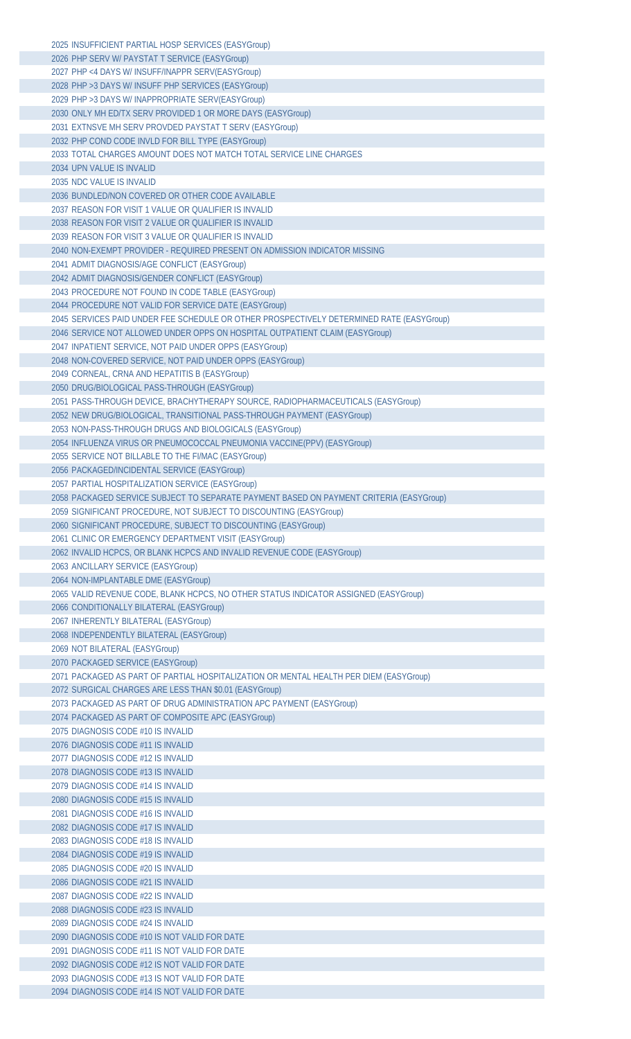| 2025 INSUFFICIENT PARTIAL HOSP SERVICES (EASYGroup)                                            |
|------------------------------------------------------------------------------------------------|
| 2026 PHP SERV W/ PAYSTAT T SERVICE (EASYGroup)                                                 |
| 2027 PHP <4 DAYS W/ INSUFF/INAPPR SERV(EASYGroup)                                              |
| 2028 PHP > 3 DAYS W/ INSUFF PHP SERVICES (EASYGroup)                                           |
| 2029 PHP > 3 DAYS W/ INAPPROPRIATE SERV(EASYGroup)                                             |
| 2030 ONLY MH ED/TX SERV PROVIDED 1 OR MORE DAYS (EASYGroup)                                    |
| 2031 EXTNSVE MH SERV PROVDED PAYSTAT T SERV (EASYGroup)                                        |
|                                                                                                |
| 2032 PHP COND CODE INVLD FOR BILL TYPE (EASYGroup)                                             |
| 2033 TOTAL CHARGES AMOUNT DOES NOT MATCH TOTAL SERVICE LINE CHARGES                            |
| 2034 UPN VALUE IS INVALID                                                                      |
| 2035 NDC VALUE IS INVALID                                                                      |
| 2036 BUNDLED/NON COVERED OR OTHER CODE AVAILABLE                                               |
| 2037 REASON FOR VISIT 1 VALUE OR QUALIFIER IS INVALID                                          |
| 2038 REASON FOR VISIT 2 VALUE OR QUALIFIER IS INVALID                                          |
| 2039 REASON FOR VISIT 3 VALUE OR QUALIFIER IS INVALID                                          |
| 2040 NON-EXEMPT PROVIDER - REQUIRED PRESENT ON ADMISSION INDICATOR MISSING                     |
| 2041 ADMIT DIAGNOSIS/AGE CONFLICT (EASYGroup)                                                  |
| 2042 ADMIT DIAGNOSIS/GENDER CONFLICT (EASYGroup)                                               |
| 2043 PROCEDURE NOT FOUND IN CODE TABLE (EASYGroup)                                             |
|                                                                                                |
| 2044 PROCEDURE NOT VALID FOR SERVICE DATE (EASYGroup)                                          |
| 2045 SERVICES PAID UNDER FEE SCHEDULE OR OTHER PROSPECTIVELY DETERMINED RATE (EASYGroup)       |
| 2046 SERVICE NOT ALLOWED UNDER OPPS ON HOSPITAL OUTPATIENT CLAIM (EASYGroup)                   |
| 2047 INPATIENT SERVICE, NOT PAID UNDER OPPS (EASYGroup)                                        |
| 2048 NON-COVERED SERVICE, NOT PAID UNDER OPPS (EASYGroup)                                      |
| 2049 CORNEAL, CRNA AND HEPATITIS B (EASYGroup)                                                 |
| 2050 DRUG/BIOLOGICAL PASS-THROUGH (EASYGroup)                                                  |
| 2051 PASS-THROUGH DEVICE, BRACHYTHERAPY SOURCE, RADIOPHARMACEUTICALS (EASYGroup)               |
| 2052 NEW DRUG/BIOLOGICAL, TRANSITIONAL PASS-THROUGH PAYMENT (EASYGroup)                        |
| 2053 NON-PASS-THROUGH DRUGS AND BIOLOGICALS (EASYGroup)                                        |
| 2054 INFLUENZA VIRUS OR PNEUMOCOCCAL PNEUMONIA VACCINE(PPV) (EASYGroup)                        |
| 2055 SERVICE NOT BILLABLE TO THE FI/MAC (EASYGroup)                                            |
|                                                                                                |
| 2056 PACKAGED/INCIDENTAL SERVICE (EASYGroup)                                                   |
| 2057 PARTIAL HOSPITALIZATION SERVICE (EASYGroup)                                               |
| 2058 PACKAGED SERVICE SUBJECT TO SEPARATE PAYMENT BASED ON PAYMENT CRITERIA (EASYGroup)        |
| 2059 SIGNIFICANT PROCEDURE, NOT SUBJECT TO DISCOUNTING (EASYGroup)                             |
| 2060 SIGNIFICANT PROCEDURE, SUBJECT TO DISCOUNTING (EASYGroup)                                 |
| 2061 CLINIC OR EMERGENCY DEPARTMENT VISIT (EASYGroup)                                          |
| 2062 INVALID HCPCS, OR BLANK HCPCS AND INVALID REVENUE CODE (EASYGroup)                        |
| 2063 ANCILLARY SERVICE (EASYGroup)                                                             |
|                                                                                                |
|                                                                                                |
| 2064 NON-IMPLANTABLE DME (EASYGroup)                                                           |
| 2065 VALID REVENUE CODE, BLANK HCPCS, NO OTHER STATUS INDICATOR ASSIGNED (EASYGroup)           |
| 2066 CONDITIONALLY BILATERAL (EASYGroup)                                                       |
| 2067 INHERENTLY BILATERAL (EASYGroup)                                                          |
| 2068 INDEPENDENTLY BILATERAL (EASYGroup)                                                       |
| 2069 NOT BILATERAL (EASYGroup)                                                                 |
| 2070 PACKAGED SERVICE (EASYGroup)                                                              |
| 2071 PACKAGED AS PART OF PARTIAL HOSPITALIZATION OR MENTAL HEALTH PER DIEM (EASYGroup)         |
| 2072 SURGICAL CHARGES ARE LESS THAN \$0.01 (EASYGroup)                                         |
| 2073 PACKAGED AS PART OF DRUG ADMINISTRATION APC PAYMENT (EASYGroup)                           |
| 2074 PACKAGED AS PART OF COMPOSITE APC (EASYGroup)                                             |
| 2075 DIAGNOSIS CODE #10 IS INVALID                                                             |
| 2076 DIAGNOSIS CODE #11 IS INVALID                                                             |
| 2077 DIAGNOSIS CODE #12 IS INVALID                                                             |
|                                                                                                |
| 2078 DIAGNOSIS CODE #13 IS INVALID                                                             |
| 2079 DIAGNOSIS CODE #14 IS INVALID                                                             |
| 2080 DIAGNOSIS CODE #15 IS INVALID                                                             |
| 2081 DIAGNOSIS CODE #16 IS INVALID                                                             |
| 2082 DIAGNOSIS CODE #17 IS INVALID                                                             |
| 2083 DIAGNOSIS CODE #18 IS INVALID                                                             |
| 2084 DIAGNOSIS CODE #19 IS INVALID                                                             |
| 2085 DIAGNOSIS CODE #20 IS INVALID                                                             |
| 2086 DIAGNOSIS CODE #21 IS INVALID                                                             |
| 2087 DIAGNOSIS CODE #22 IS INVALID                                                             |
| 2088 DIAGNOSIS CODE #23 IS INVALID                                                             |
| 2089 DIAGNOSIS CODE #24 IS INVALID                                                             |
| 2090 DIAGNOSIS CODE #10 IS NOT VALID FOR DATE                                                  |
| 2091 DIAGNOSIS CODE #11 IS NOT VALID FOR DATE                                                  |
|                                                                                                |
| 2092 DIAGNOSIS CODE #12 IS NOT VALID FOR DATE                                                  |
| 2093 DIAGNOSIS CODE #13 IS NOT VALID FOR DATE<br>2094 DIAGNOSIS CODE #14 IS NOT VALID FOR DATE |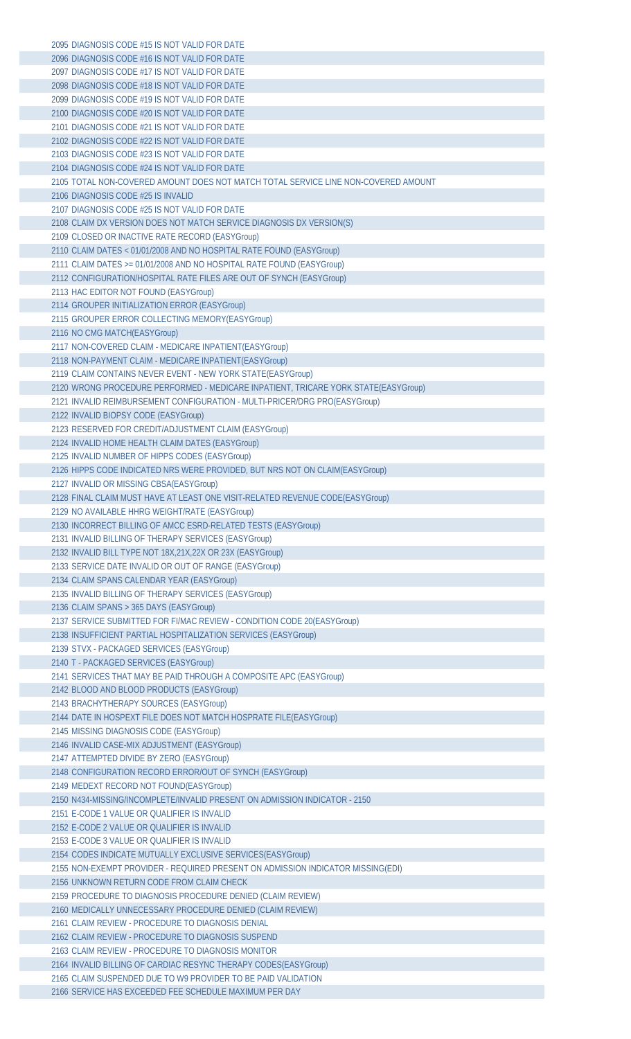| 2095 DIAGNOSIS CODE #15 IS NOT VALID FOR DATE                                      |
|------------------------------------------------------------------------------------|
| 2096 DIAGNOSIS CODE #16 IS NOT VALID FOR DATE                                      |
| 2097 DIAGNOSIS CODE #17 IS NOT VALID FOR DATE                                      |
| 2098 DIAGNOSIS CODE #18 IS NOT VALID FOR DATE                                      |
|                                                                                    |
| 2099 DIAGNOSIS CODE #19 IS NOT VALID FOR DATE                                      |
| 2100 DIAGNOSIS CODE #20 IS NOT VALID FOR DATE                                      |
| 2101 DIAGNOSIS CODE #21 IS NOT VALID FOR DATE                                      |
| 2102 DIAGNOSIS CODE #22 IS NOT VALID FOR DATE                                      |
| 2103 DIAGNOSIS CODE #23 IS NOT VALID FOR DATE                                      |
|                                                                                    |
| 2104 DIAGNOSIS CODE #24 IS NOT VALID FOR DATE                                      |
| 2105 TOTAL NON-COVERED AMOUNT DOES NOT MATCH TOTAL SERVICE LINE NON-COVERED AMOUNT |
| 2106 DIAGNOSIS CODE #25 IS INVALID                                                 |
| 2107 DIAGNOSIS CODE #25 IS NOT VALID FOR DATE                                      |
| 2108 CLAIM DX VERSION DOES NOT MATCH SERVICE DIAGNOSIS DX VERSION(S)               |
|                                                                                    |
| 2109 CLOSED OR INACTIVE RATE RECORD (EASYGroup)                                    |
| 2110 CLAIM DATES < 01/01/2008 AND NO HOSPITAL RATE FOUND (EASYGroup)               |
| 2111 CLAIM DATES >= 01/01/2008 AND NO HOSPITAL RATE FOUND (EASYGroup)              |
| 2112 CONFIGURATION/HOSPITAL RATE FILES ARE OUT OF SYNCH (EASYGroup)                |
| 2113 HAC EDITOR NOT FOUND (EASYGroup)                                              |
| 2114 GROUPER INITIALIZATION ERROR (EASYGroup)                                      |
|                                                                                    |
| 2115 GROUPER ERROR COLLECTING MEMORY(EASYGroup)                                    |
| 2116 NO CMG MATCH(EASYGroup)                                                       |
| 2117 NON-COVERED CLAIM - MEDICARE INPATIENT (EASYGroup)                            |
| 2118 NON-PAYMENT CLAIM - MEDICARE INPATIENT(EASYGroup)                             |
| 2119 CLAIM CONTAINS NEVER EVENT - NEW YORK STATE(EASYGroup)                        |
|                                                                                    |
| 2120 WRONG PROCEDURE PERFORMED - MEDICARE INPATIENT, TRICARE YORK STATE(EASYGroup) |
| 2121 INVALID REIMBURSEMENT CONFIGURATION - MULTI-PRICER/DRG PRO(EASYGroup)         |
| 2122 INVALID BIOPSY CODE (EASYGroup)                                               |
| 2123 RESERVED FOR CREDIT/ADJUSTMENT CLAIM (EASYGroup)                              |
| 2124 INVALID HOME HEALTH CLAIM DATES (EASYGroup)                                   |
|                                                                                    |
| 2125 INVALID NUMBER OF HIPPS CODES (EASYGroup)                                     |
| 2126 HIPPS CODE INDICATED NRS WERE PROVIDED, BUT NRS NOT ON CLAIM(EASYGroup)       |
| 2127 INVALID OR MISSING CBSA(EASYGroup)                                            |
| 2128 FINAL CLAIM MUST HAVE AT LEAST ONE VISIT-RELATED REVENUE CODE(EASYGroup)      |
| 2129 NO AVAILABLE HHRG WEIGHT/RATE (EASYGroup)                                     |
|                                                                                    |
| 2130 INCORRECT BILLING OF AMCC ESRD-RELATED TESTS (EASYGroup)                      |
| 2131 INVALID BILLING OF THERAPY SERVICES (EASYGroup)                               |
| 2132 INVALID BILL TYPE NOT 18X,21X,22X OR 23X (EASYGroup)                          |
| 2133 SERVICE DATE INVALID OR OUT OF RANGE (EASYGroup)                              |
| 2134 CLAIM SPANS CALENDAR YEAR (EASYGroup)                                         |
|                                                                                    |
| 2135 INVALID BILLING OF THERAPY SERVICES (EASYGroup)                               |
| 2136 CLAIM SPANS > 365 DAYS (EASYGroup)                                            |
| 2137 SERVICE SUBMITTED FOR FI/MAC REVIEW - CONDITION CODE 20 (EASY Group)          |
| 2138 INSUFFICIENT PARTIAL HOSPITALIZATION SERVICES (EASYGroup)                     |
| 2139 STVX - PACKAGED SERVICES (EASYGroup)                                          |
|                                                                                    |
| 2140 T - PACKAGED SERVICES (EASYGroup)                                             |
| 2141 SERVICES THAT MAY BE PAID THROUGH A COMPOSITE APC (EASYGroup)                 |
| 2142 BLOOD AND BLOOD PRODUCTS (EASYGroup)                                          |
| 2143 BRACHYTHERAPY SOURCES (EASYGroup)                                             |
| 2144 DATE IN HOSPEXT FILE DOES NOT MATCH HOSPRATE FILE(EASYGroup)                  |
| 2145 MISSING DIAGNOSIS CODE (EASYGroup)                                            |
|                                                                                    |
| 2146 INVALID CASE-MIX ADJUSTMENT (EASYGroup)                                       |
| 2147 ATTEMPTED DIVIDE BY ZERO (EASYGroup)                                          |
| 2148 CONFIGURATION RECORD ERROR/OUT OF SYNCH (EASYGroup)                           |
| 2149 MEDEXT RECORD NOT FOUND(EASYGroup)                                            |
| 2150 N434-MISSING/INCOMPLETE/INVALID PRESENT ON ADMISSION INDICATOR - 2150         |
|                                                                                    |
| 2151 E-CODE 1 VALUE OR QUALIFIER IS INVALID                                        |
| 2152 E-CODE 2 VALUE OR QUALIFIER IS INVALID                                        |
| 2153 E-CODE 3 VALUE OR QUALIFIER IS INVALID                                        |
| 2154 CODES INDICATE MUTUALLY EXCLUSIVE SERVICES(EASYGroup)                         |
| 2155 NON-EXEMPT PROVIDER - REQUIRED PRESENT ON ADMISSION INDICATOR MISSING(EDI)    |
|                                                                                    |
| 2156 UNKNOWN RETURN CODE FROM CLAIM CHECK                                          |
| 2159 PROCEDURE TO DIAGNOSIS PROCEDURE DENIED (CLAIM REVIEW)                        |
| 2160 MEDICALLY UNNECESSARY PROCEDURE DENIED (CLAIM REVIEW)                         |
| 2161 CLAIM REVIEW - PROCEDURE TO DIAGNOSIS DENIAL                                  |
| 2162 CLAIM REVIEW - PROCEDURE TO DIAGNOSIS SUSPEND                                 |
| 2163 CLAIM REVIEW - PROCEDURE TO DIAGNOSIS MONITOR                                 |
|                                                                                    |
| 2164 INVALID BILLING OF CARDIAC RESYNC THERAPY CODES(EASYGroup)                    |
| 2165 CLAIM SUSPENDED DUE TO W9 PROVIDER TO BE PAID VALIDATION                      |
| 2166 SERVICE HAS EXCEEDED FEE SCHEDULE MAXIMUM PER DAY                             |
|                                                                                    |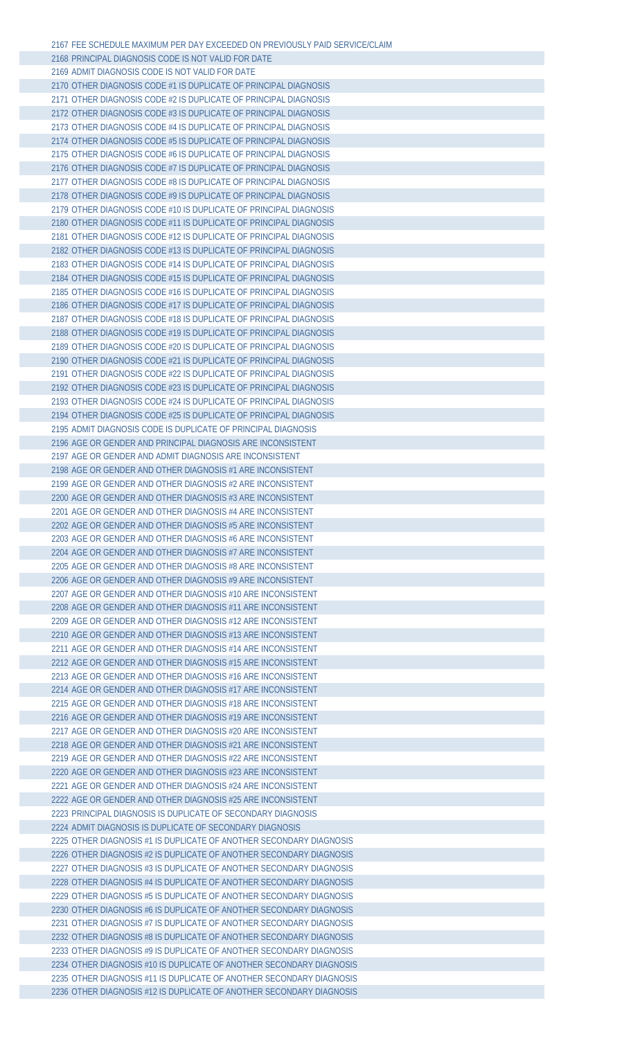| 2167 FEE SCHEDULE MAXIMUM PER DAY EXCEEDED ON PREVIOUSLY PAID SERVICE/CLAIM |  |
|-----------------------------------------------------------------------------|--|
| 2168 PRINCIPAL DIAGNOSIS CODE IS NOT VALID FOR DATE                         |  |
| 2169 ADMIT DIAGNOSIS CODE IS NOT VALID FOR DATE                             |  |
| 2170 OTHER DIAGNOSIS CODE #1 IS DUPLICATE OF PRINCIPAL DIAGNOSIS            |  |
| 2171 OTHER DIAGNOSIS CODE #2 IS DUPLICATE OF PRINCIPAL DIAGNOSIS            |  |
| 2172 OTHER DIAGNOSIS CODE #3 IS DUPLICATE OF PRINCIPAL DIAGNOSIS            |  |
|                                                                             |  |
| 2173 OTHER DIAGNOSIS CODE #4 IS DUPLICATE OF PRINCIPAL DIAGNOSIS            |  |
| 2174 OTHER DIAGNOSIS CODE #5 IS DUPLICATE OF PRINCIPAL DIAGNOSIS            |  |
| 2175 OTHER DIAGNOSIS CODE #6 IS DUPLICATE OF PRINCIPAL DIAGNOSIS            |  |
| 2176 OTHER DIAGNOSIS CODE #7 IS DUPLICATE OF PRINCIPAL DIAGNOSIS            |  |
| 2177 OTHER DIAGNOSIS CODE #8 IS DUPLICATE OF PRINCIPAL DIAGNOSIS            |  |
| 2178 OTHER DIAGNOSIS CODE #9 IS DUPLICATE OF PRINCIPAL DIAGNOSIS            |  |
| 2179 OTHER DIAGNOSIS CODE #10 IS DUPLICATE OF PRINCIPAL DIAGNOSIS           |  |
| 2180 OTHER DIAGNOSIS CODE #11 IS DUPLICATE OF PRINCIPAL DIAGNOSIS           |  |
| 2181 OTHER DIAGNOSIS CODE #12 IS DUPLICATE OF PRINCIPAL DIAGNOSIS           |  |
| 2182 OTHER DIAGNOSIS CODE #13 IS DUPLICATE OF PRINCIPAL DIAGNOSIS           |  |
| 2183 OTHER DIAGNOSIS CODE #14 IS DUPLICATE OF PRINCIPAL DIAGNOSIS           |  |
| 2184 OTHER DIAGNOSIS CODE #15 IS DUPLICATE OF PRINCIPAL DIAGNOSIS           |  |
|                                                                             |  |
| 2185 OTHER DIAGNOSIS CODE #16 IS DUPLICATE OF PRINCIPAL DIAGNOSIS           |  |
| 2186 OTHER DIAGNOSIS CODE #17 IS DUPLICATE OF PRINCIPAL DIAGNOSIS           |  |
| 2187 OTHER DIAGNOSIS CODE #18 IS DUPLICATE OF PRINCIPAL DIAGNOSIS           |  |
| 2188 OTHER DIAGNOSIS CODE #19 IS DUPLICATE OF PRINCIPAL DIAGNOSIS           |  |
| 2189 OTHER DIAGNOSIS CODE #20 IS DUPLICATE OF PRINCIPAL DIAGNOSIS           |  |
| 2190 OTHER DIAGNOSIS CODE #21 IS DUPLICATE OF PRINCIPAL DIAGNOSIS           |  |
| 2191 OTHER DIAGNOSIS CODE #22 IS DUPLICATE OF PRINCIPAL DIAGNOSIS           |  |
| 2192 OTHER DIAGNOSIS CODE #23 IS DUPLICATE OF PRINCIPAL DIAGNOSIS           |  |
| 2193 OTHER DIAGNOSIS CODE #24 IS DUPLICATE OF PRINCIPAL DIAGNOSIS           |  |
| 2194 OTHER DIAGNOSIS CODE #25 IS DUPLICATE OF PRINCIPAL DIAGNOSIS           |  |
| 2195 ADMIT DIAGNOSIS CODE IS DUPLICATE OF PRINCIPAL DIAGNOSIS               |  |
| 2196 AGE OR GENDER AND PRINCIPAL DIAGNOSIS ARE INCONSISTENT                 |  |
| 2197 AGE OR GENDER AND ADMIT DIAGNOSIS ARE INCONSISTENT                     |  |
|                                                                             |  |
| 2198 AGE OR GENDER AND OTHER DIAGNOSIS #1 ARE INCONSISTENT                  |  |
| 2199 AGE OR GENDER AND OTHER DIAGNOSIS #2 ARE INCONSISTENT                  |  |
| 2200 AGE OR GENDER AND OTHER DIAGNOSIS #3 ARE INCONSISTENT                  |  |
| 2201 AGE OR GENDER AND OTHER DIAGNOSIS #4 ARE INCONSISTENT                  |  |
| 2202 AGE OR GENDER AND OTHER DIAGNOSIS #5 ARE INCONSISTENT                  |  |
| 2203 AGE OR GENDER AND OTHER DIAGNOSIS #6 ARE INCONSISTENT                  |  |
| 2204 AGE OR GENDER AND OTHER DIAGNOSIS #7 ARE INCONSISTENT                  |  |
| 2205 AGE OR GENDER AND OTHER DIAGNOSIS #8 ARE INCONSISTENT                  |  |
| 2206 AGE OR GENDER AND OTHER DIAGNOSIS #9 ARE INCONSISTENT                  |  |
| 2207 AGE OR GENDER AND OTHER DIAGNOSIS #10 ARE INCONSISTENT                 |  |
| 2208 AGE OR GENDER AND OTHER DIAGNOSIS #11 ARE INCONSISTENT                 |  |
| 2209 AGE OR GENDER AND OTHER DIAGNOSIS #12 ARE INCONSISTENT                 |  |
|                                                                             |  |
| 2210 AGE OR GENDER AND OTHER DIAGNOSIS #13 ARE INCONSISTENT                 |  |
| 2211 AGE OR GENDER AND OTHER DIAGNOSIS #14 ARE INCONSISTENT                 |  |
| 2212 AGE OR GENDER AND OTHER DIAGNOSIS #15 ARE INCONSISTENT                 |  |
| 2213 AGE OR GENDER AND OTHER DIAGNOSIS #16 ARE INCONSISTENT                 |  |
| 2214 AGE OR GENDER AND OTHER DIAGNOSIS #17 ARE INCONSISTENT                 |  |
| 2215 AGE OR GENDER AND OTHER DIAGNOSIS #18 ARE INCONSISTENT                 |  |
| 2216 AGE OR GENDER AND OTHER DIAGNOSIS #19 ARE INCONSISTENT                 |  |
| 2217 AGE OR GENDER AND OTHER DIAGNOSIS #20 ARE INCONSISTENT                 |  |
| 2218 AGE OR GENDER AND OTHER DIAGNOSIS #21 ARE INCONSISTENT                 |  |
| 2219 AGE OR GENDER AND OTHER DIAGNOSIS #22 ARE INCONSISTENT                 |  |
| 2220 AGE OR GENDER AND OTHER DIAGNOSIS #23 ARE INCONSISTENT                 |  |
| 2221 AGE OR GENDER AND OTHER DIAGNOSIS #24 ARE INCONSISTENT                 |  |
| 2222 AGE OR GENDER AND OTHER DIAGNOSIS #25 ARE INCONSISTENT                 |  |
|                                                                             |  |
| 2223 PRINCIPAL DIAGNOSIS IS DUPLICATE OF SECONDARY DIAGNOSIS                |  |
| 2224 ADMIT DIAGNOSIS IS DUPLICATE OF SECONDARY DIAGNOSIS                    |  |
| 2225 OTHER DIAGNOSIS #1 IS DUPLICATE OF ANOTHER SECONDARY DIAGNOSIS         |  |
| 2226 OTHER DIAGNOSIS #2 IS DUPLICATE OF ANOTHER SECONDARY DIAGNOSIS         |  |
| 2227 OTHER DIAGNOSIS #3 IS DUPLICATE OF ANOTHER SECONDARY DIAGNOSIS         |  |
| 2228 OTHER DIAGNOSIS #4 IS DUPLICATE OF ANOTHER SECONDARY DIAGNOSIS         |  |
| 2229 OTHER DIAGNOSIS #5 IS DUPLICATE OF ANOTHER SECONDARY DIAGNOSIS         |  |
| 2230 OTHER DIAGNOSIS #6 IS DUPLICATE OF ANOTHER SECONDARY DIAGNOSIS         |  |
| 2231 OTHER DIAGNOSIS #7 IS DUPLICATE OF ANOTHER SECONDARY DIAGNOSIS         |  |
| 2232 OTHER DIAGNOSIS #8 IS DUPLICATE OF ANOTHER SECONDARY DIAGNOSIS         |  |
| 2233 OTHER DIAGNOSIS #9 IS DUPLICATE OF ANOTHER SECONDARY DIAGNOSIS         |  |
| 2234 OTHER DIAGNOSIS #10 IS DUPLICATE OF ANOTHER SECONDARY DIAGNOSIS        |  |
| 2235 OTHER DIAGNOSIS #11 IS DUPLICATE OF ANOTHER SECONDARY DIAGNOSIS        |  |
|                                                                             |  |
| 2236 OTHER DIAGNOSIS #12 IS DUPLICATE OF ANOTHER SECONDARY DIAGNOSIS        |  |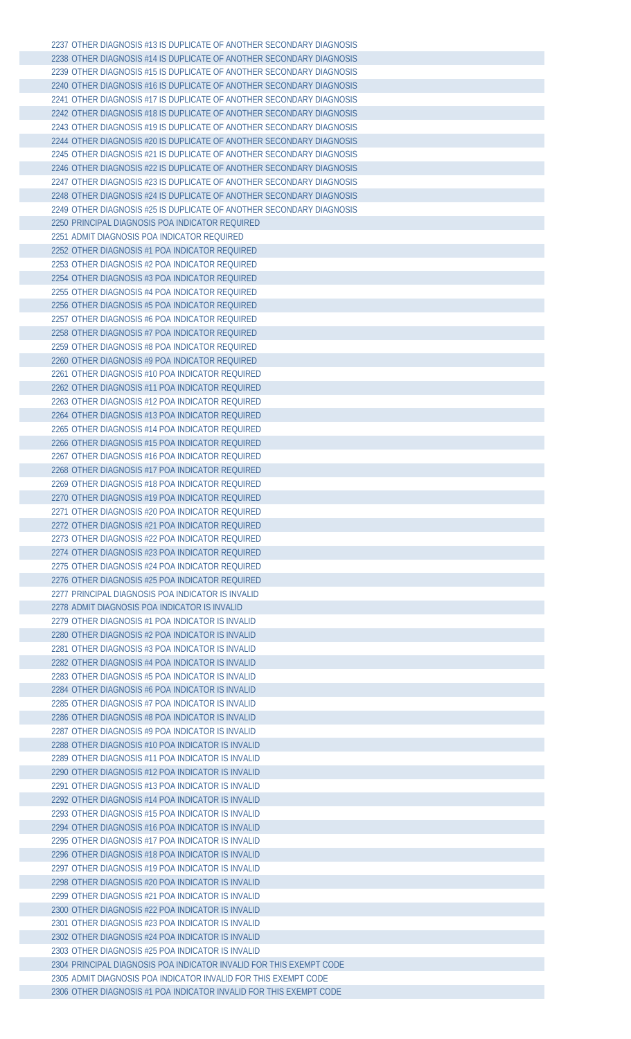| 2237 OTHER DIAGNOSIS #13 IS DUPLICATE OF ANOTHER SECONDARY DIAGNOSIS |
|----------------------------------------------------------------------|
| 2238 OTHER DIAGNOSIS #14 IS DUPLICATE OF ANOTHER SECONDARY DIAGNOSIS |
| 2239 OTHER DIAGNOSIS #15 IS DUPLICATE OF ANOTHER SECONDARY DIAGNOSIS |
| 2240 OTHER DIAGNOSIS #16 IS DUPLICATE OF ANOTHER SECONDARY DIAGNOSIS |
| 2241 OTHER DIAGNOSIS #17 IS DUPLICATE OF ANOTHER SECONDARY DIAGNOSIS |
| 2242 OTHER DIAGNOSIS #18 IS DUPLICATE OF ANOTHER SECONDARY DIAGNOSIS |
| 2243 OTHER DIAGNOSIS #19 IS DUPLICATE OF ANOTHER SECONDARY DIAGNOSIS |
|                                                                      |
| 2244 OTHER DIAGNOSIS #20 IS DUPLICATE OF ANOTHER SECONDARY DIAGNOSIS |
| 2245 OTHER DIAGNOSIS #21 IS DUPLICATE OF ANOTHER SECONDARY DIAGNOSIS |
| 2246 OTHER DIAGNOSIS #22 IS DUPLICATE OF ANOTHER SECONDARY DIAGNOSIS |
| 2247 OTHER DIAGNOSIS #23 IS DUPLICATE OF ANOTHER SECONDARY DIAGNOSIS |
| 2248 OTHER DIAGNOSIS #24 IS DUPLICATE OF ANOTHER SECONDARY DIAGNOSIS |
| 2249 OTHER DIAGNOSIS #25 IS DUPLICATE OF ANOTHER SECONDARY DIAGNOSIS |
| 2250 PRINCIPAL DIAGNOSIS POA INDICATOR REQUIRED                      |
| 2251 ADMIT DIAGNOSIS POA INDICATOR REQUIRED                          |
| 2252 OTHER DIAGNOSIS #1 POA INDICATOR REQUIRED                       |
| 2253 OTHER DIAGNOSIS #2 POA INDICATOR REQUIRED                       |
| 2254 OTHER DIAGNOSIS #3 POA INDICATOR REQUIRED                       |
| 2255 OTHER DIAGNOSIS #4 POA INDICATOR REQUIRED                       |
| 2256 OTHER DIAGNOSIS #5 POA INDICATOR REQUIRED                       |
|                                                                      |
| 2257 OTHER DIAGNOSIS #6 POA INDICATOR REQUIRED                       |
| 2258 OTHER DIAGNOSIS #7 POA INDICATOR REQUIRED                       |
| 2259 OTHER DIAGNOSIS #8 POA INDICATOR REQUIRED                       |
| 2260 OTHER DIAGNOSIS #9 POA INDICATOR REQUIRED                       |
| 2261 OTHER DIAGNOSIS #10 POA INDICATOR REQUIRED                      |
| 2262 OTHER DIAGNOSIS #11 POA INDICATOR REQUIRED                      |
| 2263 OTHER DIAGNOSIS #12 POA INDICATOR REQUIRED                      |
| 2264 OTHER DIAGNOSIS #13 POA INDICATOR REQUIRED                      |
| 2265 OTHER DIAGNOSIS #14 POA INDICATOR REQUIRED                      |
| 2266 OTHER DIAGNOSIS #15 POA INDICATOR REQUIRED                      |
| 2267 OTHER DIAGNOSIS #16 POA INDICATOR REQUIRED                      |
| 2268 OTHER DIAGNOSIS #17 POA INDICATOR REQUIRED                      |
|                                                                      |
| 2269 OTHER DIAGNOSIS #18 POA INDICATOR REOUIRED                      |
| 2270 OTHER DIAGNOSIS #19 POA INDICATOR REQUIRED                      |
| 2271 OTHER DIAGNOSIS #20 POA INDICATOR REQUIRED                      |
| 2272 OTHER DIAGNOSIS #21 POA INDICATOR REOUIRED                      |
| 2273 OTHER DIAGNOSIS #22 POA INDICATOR REQUIRED                      |
| 2274 OTHER DIAGNOSIS #23 POA INDICATOR REQUIRED                      |
| 2275 OTHER DIAGNOSIS #24 POA INDICATOR REOUIRED                      |
| 2276 OTHER DIAGNOSIS #25 POA INDICATOR REQUIRED                      |
| 2277 PRINCIPAL DIAGNOSIS POA INDICATOR IS INVALID                    |
| 2278 ADMIT DIAGNOSIS POA INDICATOR IS INVALID                        |
| 2279 OTHER DIAGNOSIS #1 POA INDICATOR IS INVALID                     |
| 2280 OTHER DIAGNOSIS #2 POA INDICATOR IS INVALID                     |
| 2281 OTHER DIAGNOSIS #3 POA INDICATOR IS INVALID                     |
| 2282 OTHER DIAGNOSIS #4 POA INDICATOR IS INVALID                     |
|                                                                      |
| 2283 OTHER DIAGNOSIS #5 POA INDICATOR IS INVALID                     |
| 2284 OTHER DIAGNOSIS #6 POA INDICATOR IS INVALID                     |
| 2285 OTHER DIAGNOSIS #7 POA INDICATOR IS INVALID                     |
| 2286 OTHER DIAGNOSIS #8 POA INDICATOR IS INVALID                     |
| 2287 OTHER DIAGNOSIS #9 POA INDICATOR IS INVALID                     |
| 2288 OTHER DIAGNOSIS #10 POA INDICATOR IS INVALID                    |
| 2289 OTHER DIAGNOSIS #11 POA INDICATOR IS INVALID                    |
| 2290 OTHER DIAGNOSIS #12 POA INDICATOR IS INVALID                    |
| 2291 OTHER DIAGNOSIS #13 POA INDICATOR IS INVALID                    |
| 2292 OTHER DIAGNOSIS #14 POA INDICATOR IS INVALID                    |
| 2293 OTHER DIAGNOSIS #15 POA INDICATOR IS INVALID                    |
| 2294 OTHER DIAGNOSIS #16 POA INDICATOR IS INVALID                    |
| 2295 OTHER DIAGNOSIS #17 POA INDICATOR IS INVALID                    |
| 2296 OTHER DIAGNOSIS #18 POA INDICATOR IS INVALID                    |
| 2297 OTHER DIAGNOSIS #19 POA INDICATOR IS INVALID                    |
|                                                                      |
| 2298 OTHER DIAGNOSIS #20 POA INDICATOR IS INVALID                    |
| 2299 OTHER DIAGNOSIS #21 POA INDICATOR IS INVALID                    |
| 2300 OTHER DIAGNOSIS #22 POA INDICATOR IS INVALID                    |
| 2301 OTHER DIAGNOSIS #23 POA INDICATOR IS INVALID                    |
| 2302 OTHER DIAGNOSIS #24 POA INDICATOR IS INVALID                    |
| 2303 OTHER DIAGNOSIS #25 POA INDICATOR IS INVALID                    |
| 2304 PRINCIPAL DIAGNOSIS POA INDICATOR INVALID FOR THIS EXEMPT CODE  |
| 2305 ADMIT DIAGNOSIS POA INDICATOR INVALID FOR THIS EXEMPT CODE      |
| 2306 OTHER DIAGNOSIS #1 POA INDICATOR INVALID FOR THIS EXEMPT CODE   |
|                                                                      |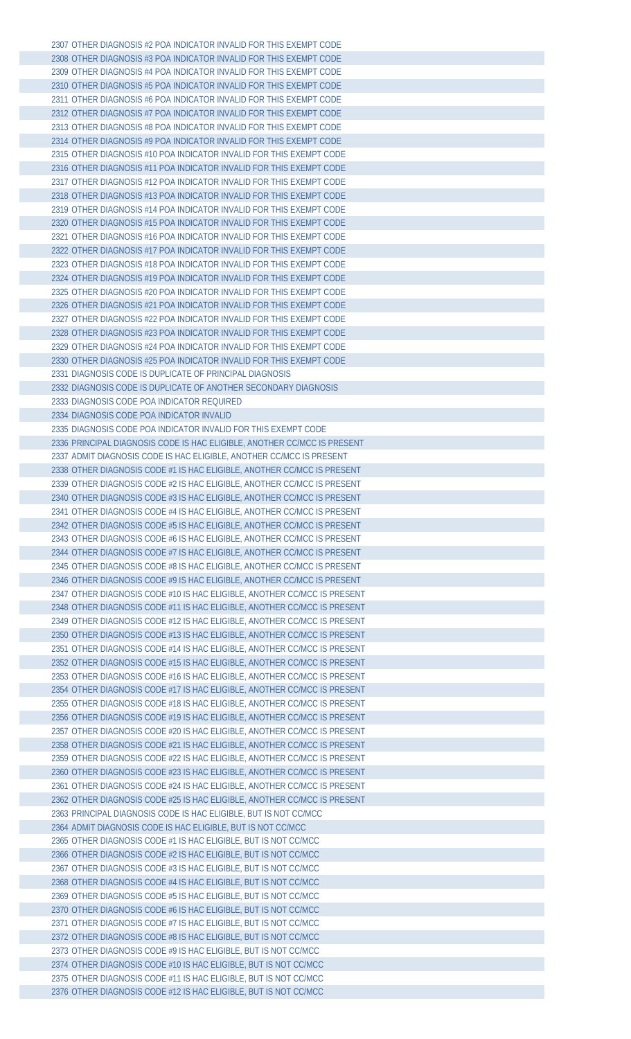OTHER DIAGNOSIS #2 POA INDICATOR INVALID FOR THIS EXEMPT CODE OTHER DIAGNOSIS #3 POA INDICATOR INVALID FOR THIS EXEMPT CODE OTHER DIAGNOSIS #4 POA INDICATOR INVALID FOR THIS EXEMPT CODE OTHER DIAGNOSIS #5 POA INDICATOR INVALID FOR THIS EXEMPT CODE OTHER DIAGNOSIS #6 POA INDICATOR INVALID FOR THIS EXEMPT CODE OTHER DIAGNOSIS #7 POA INDICATOR INVALID FOR THIS EXEMPT CODE OTHER DIAGNOSIS #8 POA INDICATOR INVALID FOR THIS EXEMPT CODE OTHER DIAGNOSIS #9 POA INDICATOR INVALID FOR THIS EXEMPT CODE OTHER DIAGNOSIS #10 POA INDICATOR INVALID FOR THIS EXEMPT CODE OTHER DIAGNOSIS #11 POA INDICATOR INVALID FOR THIS EXEMPT CODE OTHER DIAGNOSIS #12 POA INDICATOR INVALID FOR THIS EXEMPT CODE OTHER DIAGNOSIS #13 POA INDICATOR INVALID FOR THIS EXEMPT CODE OTHER DIAGNOSIS #14 POA INDICATOR INVALID FOR THIS EXEMPT CODE OTHER DIAGNOSIS #15 POA INDICATOR INVALID FOR THIS EXEMPT CODE OTHER DIAGNOSIS #16 POA INDICATOR INVALID FOR THIS EXEMPT CODE OTHER DIAGNOSIS #17 POA INDICATOR INVALID FOR THIS EXEMPT CODE OTHER DIAGNOSIS #18 POA INDICATOR INVALID FOR THIS EXEMPT CODE OTHER DIAGNOSIS #19 POA INDICATOR INVALID FOR THIS EXEMPT CODE OTHER DIAGNOSIS #20 POA INDICATOR INVALID FOR THIS EXEMPT CODE OTHER DIAGNOSIS #21 POA INDICATOR INVALID FOR THIS EXEMPT CODE OTHER DIAGNOSIS #22 POA INDICATOR INVALID FOR THIS EXEMPT CODE OTHER DIAGNOSIS #23 POA INDICATOR INVALID FOR THIS EXEMPT CODE OTHER DIAGNOSIS #24 POA INDICATOR INVALID FOR THIS EXEMPT CODE OTHER DIAGNOSIS #25 POA INDICATOR INVALID FOR THIS EXEMPT CODE DIAGNOSIS CODE IS DUPLICATE OF PRINCIPAL DIAGNOSIS DIAGNOSIS CODE IS DUPLICATE OF ANOTHER SECONDARY DIAGNOSIS DIAGNOSIS CODE POA INDICATOR REQUIRED DIAGNOSIS CODE POA INDICATOR INVALID DIAGNOSIS CODE POA INDICATOR INVALID FOR THIS EXEMPT CODE PRINCIPAL DIAGNOSIS CODE IS HAC ELIGIBLE, ANOTHER CC/MCC IS PRESENT ADMIT DIAGNOSIS CODE IS HAC ELIGIBLE, ANOTHER CC/MCC IS PRESENT OTHER DIAGNOSIS CODE #1 IS HAC ELIGIBLE, ANOTHER CC/MCC IS PRESENT OTHER DIAGNOSIS CODE #2 IS HAC ELIGIBLE, ANOTHER CC/MCC IS PRESENT OTHER DIAGNOSIS CODE #3 IS HAC ELIGIBLE, ANOTHER CC/MCC IS PRESENT OTHER DIAGNOSIS CODE #4 IS HAC ELIGIBLE, ANOTHER CC/MCC IS PRESENT OTHER DIAGNOSIS CODE #5 IS HAC ELIGIBLE, ANOTHER CC/MCC IS PRESENT OTHER DIAGNOSIS CODE #6 IS HAC ELIGIBLE, ANOTHER CC/MCC IS PRESENT OTHER DIAGNOSIS CODE #7 IS HAC ELIGIBLE, ANOTHER CC/MCC IS PRESENT OTHER DIAGNOSIS CODE #8 IS HAC ELIGIBLE, ANOTHER CC/MCC IS PRESENT OTHER DIAGNOSIS CODE #9 IS HAC ELIGIBLE, ANOTHER CC/MCC IS PRESENT OTHER DIAGNOSIS CODE #10 IS HAC ELIGIBLE, ANOTHER CC/MCC IS PRESENT OTHER DIAGNOSIS CODE #11 IS HAC ELIGIBLE, ANOTHER CC/MCC IS PRESENT OTHER DIAGNOSIS CODE #12 IS HAC ELIGIBLE, ANOTHER CC/MCC IS PRESENT OTHER DIAGNOSIS CODE #13 IS HAC ELIGIBLE, ANOTHER CC/MCC IS PRESENT OTHER DIAGNOSIS CODE #14 IS HAC ELIGIBLE, ANOTHER CC/MCC IS PRESENT OTHER DIAGNOSIS CODE #15 IS HAC ELIGIBLE, ANOTHER CC/MCC IS PRESENT OTHER DIAGNOSIS CODE #16 IS HAC ELIGIBLE, ANOTHER CC/MCC IS PRESENT OTHER DIAGNOSIS CODE #17 IS HAC ELIGIBLE, ANOTHER CC/MCC IS PRESENT OTHER DIAGNOSIS CODE #18 IS HAC ELIGIBLE, ANOTHER CC/MCC IS PRESENT OTHER DIAGNOSIS CODE #19 IS HAC ELIGIBLE, ANOTHER CC/MCC IS PRESENT OTHER DIAGNOSIS CODE #20 IS HAC ELIGIBLE, ANOTHER CC/MCC IS PRESENT OTHER DIAGNOSIS CODE #21 IS HAC ELIGIBLE, ANOTHER CC/MCC IS PRESENT OTHER DIAGNOSIS CODE #22 IS HAC ELIGIBLE, ANOTHER CC/MCC IS PRESENT OTHER DIAGNOSIS CODE #23 IS HAC ELIGIBLE, ANOTHER CC/MCC IS PRESENT OTHER DIAGNOSIS CODE #24 IS HAC ELIGIBLE, ANOTHER CC/MCC IS PRESENT OTHER DIAGNOSIS CODE #25 IS HAC ELIGIBLE, ANOTHER CC/MCC IS PRESENT PRINCIPAL DIAGNOSIS CODE IS HAC ELIGIBLE, BUT IS NOT CC/MCC ADMIT DIAGNOSIS CODE IS HAC ELIGIBLE, BUT IS NOT CC/MCC OTHER DIAGNOSIS CODE #1 IS HAC ELIGIBLE, BUT IS NOT CC/MCC OTHER DIAGNOSIS CODE #2 IS HAC ELIGIBLE, BUT IS NOT CC/MCC OTHER DIAGNOSIS CODE #3 IS HAC ELIGIBLE, BUT IS NOT CC/MCC OTHER DIAGNOSIS CODE #4 IS HAC ELIGIBLE, BUT IS NOT CC/MCC OTHER DIAGNOSIS CODE #5 IS HAC ELIGIBLE, BUT IS NOT CC/MCC OTHER DIAGNOSIS CODE #6 IS HAC ELIGIBLE, BUT IS NOT CC/MCC OTHER DIAGNOSIS CODE #7 IS HAC ELIGIBLE, BUT IS NOT CC/MCC OTHER DIAGNOSIS CODE #8 IS HAC ELIGIBLE, BUT IS NOT CC/MCC OTHER DIAGNOSIS CODE #9 IS HAC ELIGIBLE, BUT IS NOT CC/MCC OTHER DIAGNOSIS CODE #10 IS HAC ELIGIBLE, BUT IS NOT CC/MCC OTHER DIAGNOSIS CODE #11 IS HAC ELIGIBLE, BUT IS NOT CC/MCC OTHER DIAGNOSIS CODE #12 IS HAC ELIGIBLE, BUT IS NOT CC/MCC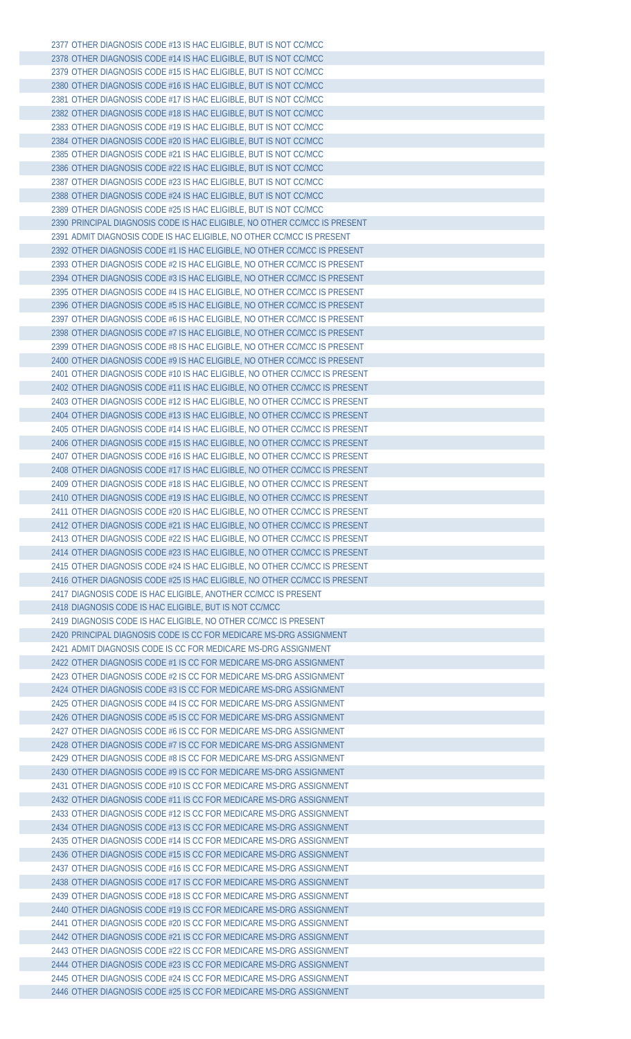OTHER DIAGNOSIS CODE #13 IS HAC ELIGIBLE, BUT IS NOT CC/MCC OTHER DIAGNOSIS CODE #14 IS HAC ELIGIBLE, BUT IS NOT CC/MCC OTHER DIAGNOSIS CODE #15 IS HAC ELIGIBLE, BUT IS NOT CC/MCC OTHER DIAGNOSIS CODE #16 IS HAC ELIGIBLE, BUT IS NOT CC/MCC OTHER DIAGNOSIS CODE #17 IS HAC ELIGIBLE, BUT IS NOT CC/MCC OTHER DIAGNOSIS CODE #18 IS HAC ELIGIBLE, BUT IS NOT CC/MCC OTHER DIAGNOSIS CODE #19 IS HAC ELIGIBLE, BUT IS NOT CC/MCC OTHER DIAGNOSIS CODE #20 IS HAC ELIGIBLE, BUT IS NOT CC/MCC OTHER DIAGNOSIS CODE #21 IS HAC ELIGIBLE, BUT IS NOT CC/MCC OTHER DIAGNOSIS CODE #22 IS HAC ELIGIBLE, BUT IS NOT CC/MCC OTHER DIAGNOSIS CODE #23 IS HAC ELIGIBLE, BUT IS NOT CC/MCC OTHER DIAGNOSIS CODE #24 IS HAC ELIGIBLE, BUT IS NOT CC/MCC OTHER DIAGNOSIS CODE #25 IS HAC ELIGIBLE, BUT IS NOT CC/MCC PRINCIPAL DIAGNOSIS CODE IS HAC ELIGIBLE, NO OTHER CC/MCC IS PRESENT ADMIT DIAGNOSIS CODE IS HAC ELIGIBLE, NO OTHER CC/MCC IS PRESENT OTHER DIAGNOSIS CODE #1 IS HAC ELIGIBLE, NO OTHER CC/MCC IS PRESENT OTHER DIAGNOSIS CODE #2 IS HAC ELIGIBLE, NO OTHER CC/MCC IS PRESENT OTHER DIAGNOSIS CODE #3 IS HAC ELIGIBLE, NO OTHER CC/MCC IS PRESENT OTHER DIAGNOSIS CODE #4 IS HAC ELIGIBLE, NO OTHER CC/MCC IS PRESENT OTHER DIAGNOSIS CODE #5 IS HAC ELIGIBLE, NO OTHER CC/MCC IS PRESENT OTHER DIAGNOSIS CODE #6 IS HAC ELIGIBLE, NO OTHER CC/MCC IS PRESENT OTHER DIAGNOSIS CODE #7 IS HAC ELIGIBLE, NO OTHER CC/MCC IS PRESENT OTHER DIAGNOSIS CODE #8 IS HAC ELIGIBLE, NO OTHER CC/MCC IS PRESENT OTHER DIAGNOSIS CODE #9 IS HAC ELIGIBLE, NO OTHER CC/MCC IS PRESENT OTHER DIAGNOSIS CODE #10 IS HAC ELIGIBLE, NO OTHER CC/MCC IS PRESENT OTHER DIAGNOSIS CODE #11 IS HAC ELIGIBLE, NO OTHER CC/MCC IS PRESENT OTHER DIAGNOSIS CODE #12 IS HAC ELIGIBLE, NO OTHER CC/MCC IS PRESENT OTHER DIAGNOSIS CODE #13 IS HAC ELIGIBLE, NO OTHER CC/MCC IS PRESENT OTHER DIAGNOSIS CODE #14 IS HAC ELIGIBLE, NO OTHER CC/MCC IS PRESENT OTHER DIAGNOSIS CODE #15 IS HAC ELIGIBLE, NO OTHER CC/MCC IS PRESENT OTHER DIAGNOSIS CODE #16 IS HAC ELIGIBLE, NO OTHER CC/MCC IS PRESENT OTHER DIAGNOSIS CODE #17 IS HAC ELIGIBLE, NO OTHER CC/MCC IS PRESENT OTHER DIAGNOSIS CODE #18 IS HAC ELIGIBLE, NO OTHER CC/MCC IS PRESENT OTHER DIAGNOSIS CODE #19 IS HAC ELIGIBLE, NO OTHER CC/MCC IS PRESENT OTHER DIAGNOSIS CODE #20 IS HAC ELIGIBLE, NO OTHER CC/MCC IS PRESENT OTHER DIAGNOSIS CODE #21 IS HAC ELIGIBLE, NO OTHER CC/MCC IS PRESENT OTHER DIAGNOSIS CODE #22 IS HAC ELIGIBLE, NO OTHER CC/MCC IS PRESENT OTHER DIAGNOSIS CODE #23 IS HAC ELIGIBLE, NO OTHER CC/MCC IS PRESENT OTHER DIAGNOSIS CODE #24 IS HAC ELIGIBLE, NO OTHER CC/MCC IS PRESENT OTHER DIAGNOSIS CODE #25 IS HAC ELIGIBLE, NO OTHER CC/MCC IS PRESENT DIAGNOSIS CODE IS HAC ELIGIBLE, ANOTHER CC/MCC IS PRESENT DIAGNOSIS CODE IS HAC ELIGIBLE, BUT IS NOT CC/MCC DIAGNOSIS CODE IS HAC ELIGIBLE, NO OTHER CC/MCC IS PRESENT PRINCIPAL DIAGNOSIS CODE IS CC FOR MEDICARE MS-DRG ASSIGNMENT ADMIT DIAGNOSIS CODE IS CC FOR MEDICARE MS-DRG ASSIGNMENT OTHER DIAGNOSIS CODE #1 IS CC FOR MEDICARE MS-DRG ASSIGNMENT OTHER DIAGNOSIS CODE #2 IS CC FOR MEDICARE MS-DRG ASSIGNMENT OTHER DIAGNOSIS CODE #3 IS CC FOR MEDICARE MS-DRG ASSIGNMENT OTHER DIAGNOSIS CODE #4 IS CC FOR MEDICARE MS-DRG ASSIGNMENT OTHER DIAGNOSIS CODE #5 IS CC FOR MEDICARE MS-DRG ASSIGNMENT OTHER DIAGNOSIS CODE #6 IS CC FOR MEDICARE MS-DRG ASSIGNMENT OTHER DIAGNOSIS CODE #7 IS CC FOR MEDICARE MS-DRG ASSIGNMENT OTHER DIAGNOSIS CODE #8 IS CC FOR MEDICARE MS-DRG ASSIGNMENT OTHER DIAGNOSIS CODE #9 IS CC FOR MEDICARE MS-DRG ASSIGNMENT OTHER DIAGNOSIS CODE #10 IS CC FOR MEDICARE MS-DRG ASSIGNMENT OTHER DIAGNOSIS CODE #11 IS CC FOR MEDICARE MS-DRG ASSIGNMENT OTHER DIAGNOSIS CODE #12 IS CC FOR MEDICARE MS-DRG ASSIGNMENT OTHER DIAGNOSIS CODE #13 IS CC FOR MEDICARE MS-DRG ASSIGNMENT OTHER DIAGNOSIS CODE #14 IS CC FOR MEDICARE MS-DRG ASSIGNMENT OTHER DIAGNOSIS CODE #15 IS CC FOR MEDICARE MS-DRG ASSIGNMENT OTHER DIAGNOSIS CODE #16 IS CC FOR MEDICARE MS-DRG ASSIGNMENT OTHER DIAGNOSIS CODE #17 IS CC FOR MEDICARE MS-DRG ASSIGNMENT OTHER DIAGNOSIS CODE #18 IS CC FOR MEDICARE MS-DRG ASSIGNMENT OTHER DIAGNOSIS CODE #19 IS CC FOR MEDICARE MS-DRG ASSIGNMENT OTHER DIAGNOSIS CODE #20 IS CC FOR MEDICARE MS-DRG ASSIGNMENT OTHER DIAGNOSIS CODE #21 IS CC FOR MEDICARE MS-DRG ASSIGNMENT OTHER DIAGNOSIS CODE #22 IS CC FOR MEDICARE MS-DRG ASSIGNMENT OTHER DIAGNOSIS CODE #23 IS CC FOR MEDICARE MS-DRG ASSIGNMENT OTHER DIAGNOSIS CODE #24 IS CC FOR MEDICARE MS-DRG ASSIGNMENT OTHER DIAGNOSIS CODE #25 IS CC FOR MEDICARE MS-DRG ASSIGNMENT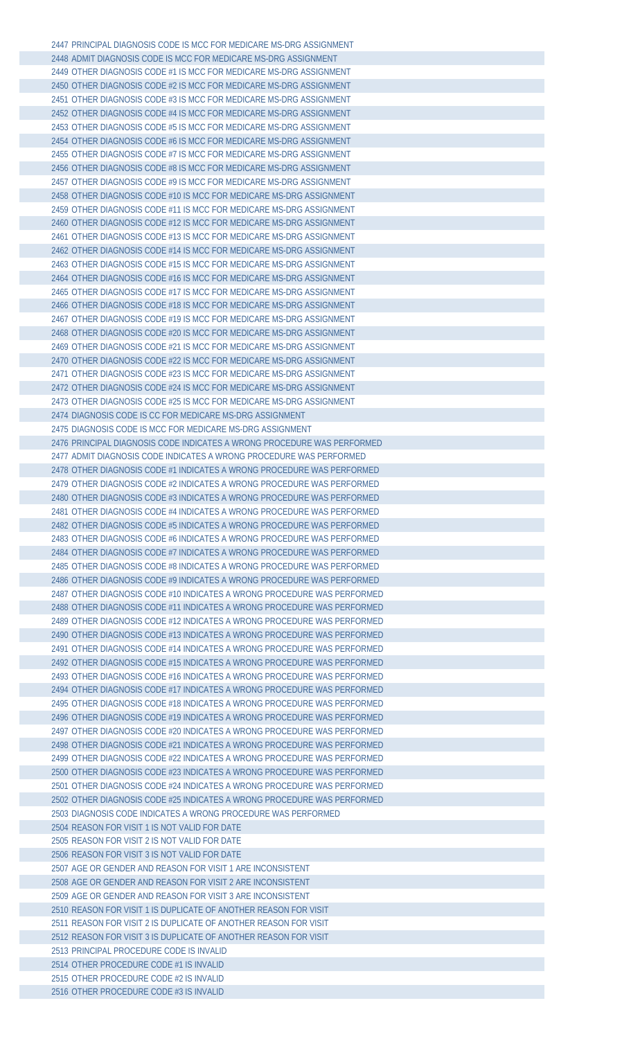PRINCIPAL DIAGNOSIS CODE IS MCC FOR MEDICARE MS-DRG ASSIGNMENT ADMIT DIAGNOSIS CODE IS MCC FOR MEDICARE MS-DRG ASSIGNMENT OTHER DIAGNOSIS CODE #1 IS MCC FOR MEDICARE MS-DRG ASSIGNMENT OTHER DIAGNOSIS CODE #2 IS MCC FOR MEDICARE MS-DRG ASSIGNMENT OTHER DIAGNOSIS CODE #3 IS MCC FOR MEDICARE MS-DRG ASSIGNMENT OTHER DIAGNOSIS CODE #4 IS MCC FOR MEDICARE MS-DRG ASSIGNMENT OTHER DIAGNOSIS CODE #5 IS MCC FOR MEDICARE MS-DRG ASSIGNMENT OTHER DIAGNOSIS CODE #6 IS MCC FOR MEDICARE MS-DRG ASSIGNMENT OTHER DIAGNOSIS CODE #7 IS MCC FOR MEDICARE MS-DRG ASSIGNMENT OTHER DIAGNOSIS CODE #8 IS MCC FOR MEDICARE MS-DRG ASSIGNMENT OTHER DIAGNOSIS CODE #9 IS MCC FOR MEDICARE MS-DRG ASSIGNMENT OTHER DIAGNOSIS CODE #10 IS MCC FOR MEDICARE MS-DRG ASSIGNMENT OTHER DIAGNOSIS CODE #11 IS MCC FOR MEDICARE MS-DRG ASSIGNMENT OTHER DIAGNOSIS CODE #12 IS MCC FOR MEDICARE MS-DRG ASSIGNMENT OTHER DIAGNOSIS CODE #13 IS MCC FOR MEDICARE MS-DRG ASSIGNMENT OTHER DIAGNOSIS CODE #14 IS MCC FOR MEDICARE MS-DRG ASSIGNMENT OTHER DIAGNOSIS CODE #15 IS MCC FOR MEDICARE MS-DRG ASSIGNMENT OTHER DIAGNOSIS CODE #16 IS MCC FOR MEDICARE MS-DRG ASSIGNMENT OTHER DIAGNOSIS CODE #17 IS MCC FOR MEDICARE MS-DRG ASSIGNMENT OTHER DIAGNOSIS CODE #18 IS MCC FOR MEDICARE MS-DRG ASSIGNMENT OTHER DIAGNOSIS CODE #19 IS MCC FOR MEDICARE MS-DRG ASSIGNMENT OTHER DIAGNOSIS CODE #20 IS MCC FOR MEDICARE MS-DRG ASSIGNMENT OTHER DIAGNOSIS CODE #21 IS MCC FOR MEDICARE MS-DRG ASSIGNMENT OTHER DIAGNOSIS CODE #22 IS MCC FOR MEDICARE MS-DRG ASSIGNMENT OTHER DIAGNOSIS CODE #23 IS MCC FOR MEDICARE MS-DRG ASSIGNMENT OTHER DIAGNOSIS CODE #24 IS MCC FOR MEDICARE MS-DRG ASSIGNMENT OTHER DIAGNOSIS CODE #25 IS MCC FOR MEDICARE MS-DRG ASSIGNMENT DIAGNOSIS CODE IS CC FOR MEDICARE MS-DRG ASSIGNMENT DIAGNOSIS CODE IS MCC FOR MEDICARE MS-DRG ASSIGNMENT PRINCIPAL DIAGNOSIS CODE INDICATES A WRONG PROCEDURE WAS PERFORMED ADMIT DIAGNOSIS CODE INDICATES A WRONG PROCEDURE WAS PERFORMED OTHER DIAGNOSIS CODE #1 INDICATES A WRONG PROCEDURE WAS PERFORMED OTHER DIAGNOSIS CODE #2 INDICATES A WRONG PROCEDURE WAS PERFORMED OTHER DIAGNOSIS CODE #3 INDICATES A WRONG PROCEDURE WAS PERFORMED OTHER DIAGNOSIS CODE #4 INDICATES A WRONG PROCEDURE WAS PERFORMED OTHER DIAGNOSIS CODE #5 INDICATES A WRONG PROCEDURE WAS PERFORMED OTHER DIAGNOSIS CODE #6 INDICATES A WRONG PROCEDURE WAS PERFORMED OTHER DIAGNOSIS CODE #7 INDICATES A WRONG PROCEDURE WAS PERFORMED OTHER DIAGNOSIS CODE #8 INDICATES A WRONG PROCEDURE WAS PERFORMED OTHER DIAGNOSIS CODE #9 INDICATES A WRONG PROCEDURE WAS PERFORMED OTHER DIAGNOSIS CODE #10 INDICATES A WRONG PROCEDURE WAS PERFORMED OTHER DIAGNOSIS CODE #11 INDICATES A WRONG PROCEDURE WAS PERFORMED OTHER DIAGNOSIS CODE #12 INDICATES A WRONG PROCEDURE WAS PERFORMED OTHER DIAGNOSIS CODE #13 INDICATES A WRONG PROCEDURE WAS PERFORMED OTHER DIAGNOSIS CODE #14 INDICATES A WRONG PROCEDURE WAS PERFORMED OTHER DIAGNOSIS CODE #15 INDICATES A WRONG PROCEDURE WAS PERFORMED OTHER DIAGNOSIS CODE #16 INDICATES A WRONG PROCEDURE WAS PERFORMED OTHER DIAGNOSIS CODE #17 INDICATES A WRONG PROCEDURE WAS PERFORMED OTHER DIAGNOSIS CODE #18 INDICATES A WRONG PROCEDURE WAS PERFORMED OTHER DIAGNOSIS CODE #19 INDICATES A WRONG PROCEDURE WAS PERFORMED OTHER DIAGNOSIS CODE #20 INDICATES A WRONG PROCEDURE WAS PERFORMED OTHER DIAGNOSIS CODE #21 INDICATES A WRONG PROCEDURE WAS PERFORMED OTHER DIAGNOSIS CODE #22 INDICATES A WRONG PROCEDURE WAS PERFORMED OTHER DIAGNOSIS CODE #23 INDICATES A WRONG PROCEDURE WAS PERFORMED OTHER DIAGNOSIS CODE #24 INDICATES A WRONG PROCEDURE WAS PERFORMED OTHER DIAGNOSIS CODE #25 INDICATES A WRONG PROCEDURE WAS PERFORMED DIAGNOSIS CODE INDICATES A WRONG PROCEDURE WAS PERFORMED REASON FOR VISIT 1 IS NOT VALID FOR DATE REASON FOR VISIT 2 IS NOT VALID FOR DATE REASON FOR VISIT 3 IS NOT VALID FOR DATE AGE OR GENDER AND REASON FOR VISIT 1 ARE INCONSISTENT AGE OR GENDER AND REASON FOR VISIT 2 ARE INCONSISTENT AGE OR GENDER AND REASON FOR VISIT 3 ARE INCONSISTENT REASON FOR VISIT 1 IS DUPLICATE OF ANOTHER REASON FOR VISIT REASON FOR VISIT 2 IS DUPLICATE OF ANOTHER REASON FOR VISIT REASON FOR VISIT 3 IS DUPLICATE OF ANOTHER REASON FOR VISIT PRINCIPAL PROCEDURE CODE IS INVALID OTHER PROCEDURE CODE #1 IS INVALID OTHER PROCEDURE CODE #2 IS INVALID OTHER PROCEDURE CODE #3 IS INVALID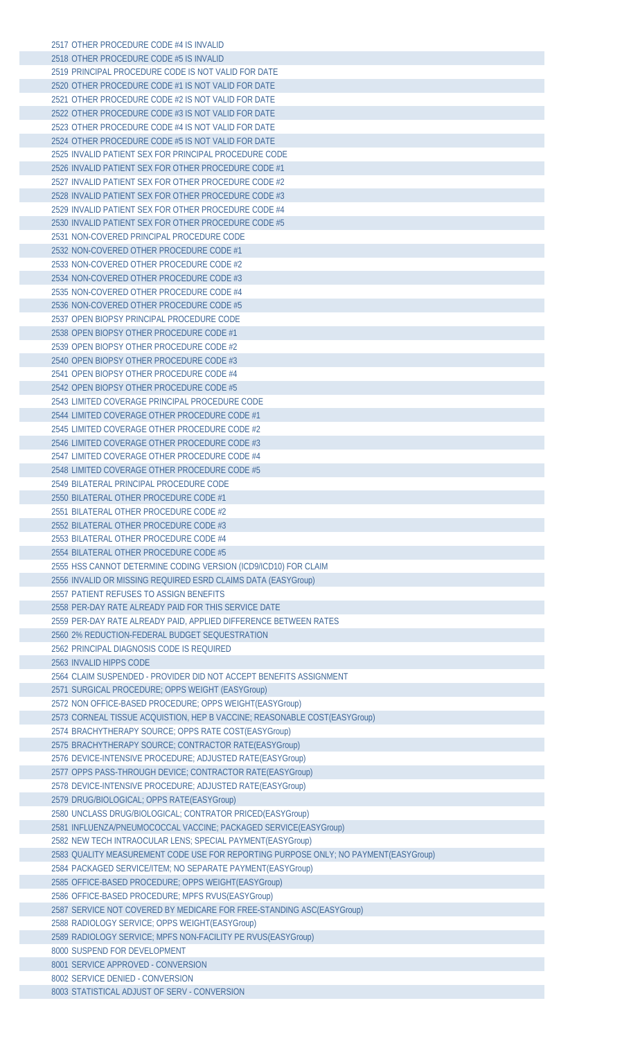| 2517 OTHER PROCEDURE CODE #4 IS INVALID                                             |
|-------------------------------------------------------------------------------------|
| 2518 OTHER PROCEDURE CODE #5 IS INVALID                                             |
| 2519 PRINCIPAL PROCEDURE CODE IS NOT VALID FOR DATE                                 |
| 2520 OTHER PROCEDURE CODE #1 IS NOT VALID FOR DATE                                  |
| 2521 OTHER PROCEDURE CODE #2 IS NOT VALID FOR DATE                                  |
| 2522 OTHER PROCEDURE CODE #3 IS NOT VALID FOR DATE                                  |
|                                                                                     |
| 2523 OTHER PROCEDURE CODE #4 IS NOT VALID FOR DATE                                  |
| 2524 OTHER PROCEDURE CODE #5 IS NOT VALID FOR DATE                                  |
| 2525 INVALID PATIENT SEX FOR PRINCIPAL PROCEDURE CODE                               |
| 2526 INVALID PATIENT SEX FOR OTHER PROCEDURE CODE #1                                |
| 2527 INVALID PATIENT SEX FOR OTHER PROCEDURE CODE #2                                |
| 2528 INVALID PATIENT SEX FOR OTHER PROCEDURE CODE #3                                |
| 2529 INVALID PATIENT SEX FOR OTHER PROCEDURE CODE #4                                |
| 2530 INVALID PATIENT SEX FOR OTHER PROCEDURE CODE #5                                |
| 2531 NON-COVERED PRINCIPAL PROCEDURE CODE                                           |
| 2532 NON-COVERED OTHER PROCEDURE CODE #1                                            |
| 2533 NON-COVERED OTHER PROCEDURE CODE #2                                            |
| 2534 NON-COVERED OTHER PROCEDURE CODE #3                                            |
|                                                                                     |
| 2535 NON-COVERED OTHER PROCEDURE CODE #4                                            |
| 2536 NON-COVERED OTHER PROCEDURE CODE #5                                            |
| 2537 OPEN BIOPSY PRINCIPAL PROCEDURE CODE                                           |
| 2538 OPEN BIOPSY OTHER PROCEDURE CODE #1                                            |
| 2539 OPEN BIOPSY OTHER PROCEDURE CODE #2                                            |
| 2540 OPEN BIOPSY OTHER PROCEDURE CODE #3                                            |
| 2541 OPEN BIOPSY OTHER PROCEDURE CODE #4                                            |
| 2542 OPEN BIOPSY OTHER PROCEDURE CODE #5                                            |
| 2543 LIMITED COVERAGE PRINCIPAL PROCEDURE CODE                                      |
| 2544 LIMITED COVERAGE OTHER PROCEDURE CODE #1                                       |
| 2545 LIMITED COVERAGE OTHER PROCEDURE CODE #2                                       |
| 2546 LIMITED COVERAGE OTHER PROCEDURE CODE #3                                       |
| 2547 LIMITED COVERAGE OTHER PROCEDURE CODE #4                                       |
|                                                                                     |
| 2548 LIMITED COVERAGE OTHER PROCEDURE CODE #5                                       |
| 2549 BILATERAL PRINCIPAL PROCEDURE CODE                                             |
| 2550 BILATERAL OTHER PROCEDURE CODE #1                                              |
| 2551 BILATERAL OTHER PROCEDURE CODE #2                                              |
| 2552 BILATERAL OTHER PROCEDURE CODE #3                                              |
| 2553 BILATERAL OTHER PROCEDURE CODE #4                                              |
| 2554 BILATERAL OTHER PROCEDURE CODE #5                                              |
| 2555 HSS CANNOT DETERMINE CODING VERSION (ICD9/ICD10) FOR CLAIM                     |
| 2556 INVALID OR MISSING REQUIRED ESRD CLAIMS DATA (EASYGroup)                       |
| 2557 PATIENT REFUSES TO ASSIGN BENEFITS                                             |
| 2558 PER-DAY RATE ALREADY PAID FOR THIS SERVICE DATE                                |
| 2559 PER-DAY RATE ALREADY PAID, APPLIED DIFFERENCE BETWEEN RATES                    |
| 2560 2% REDUCTION-FEDERAL BUDGET SEQUESTRATION                                      |
|                                                                                     |
| 2562 PRINCIPAL DIAGNOSIS CODE IS REQUIRED                                           |
| 2563 INVALID HIPPS CODE                                                             |
| 2564 CLAIM SUSPENDED - PROVIDER DID NOT ACCEPT BENEFITS ASSIGNMENT                  |
| 2571 SURGICAL PROCEDURE; OPPS WEIGHT (EASYGroup)                                    |
| 2572 NON OFFICE-BASED PROCEDURE; OPPS WEIGHT (EASYGroup)                            |
| 2573 CORNEAL TISSUE ACQUISTION, HEP B VACCINE; REASONABLE COST(EASYGroup)           |
| 2574 BRACHYTHERAPY SOURCE; OPPS RATE COST(EASYGroup)                                |
| 2575 BRACHYTHERAPY SOURCE; CONTRACTOR RATE(EASYGroup)                               |
| 2576 DEVICE-INTENSIVE PROCEDURE; ADJUSTED RATE(EASYGroup)                           |
| 2577 OPPS PASS-THROUGH DEVICE; CONTRACTOR RATE(EASYGroup)                           |
| 2578 DEVICE-INTENSIVE PROCEDURE; ADJUSTED RATE(EASYGroup)                           |
| 2579 DRUG/BIOLOGICAL; OPPS RATE(EASYGroup)                                          |
| 2580 UNCLASS DRUG/BIOLOGICAL; CONTRATOR PRICED(EASYGroup)                           |
| 2581 INFLUENZA/PNEUMOCOCCAL VACCINE; PACKAGED SERVICE(EASYGroup)                    |
| 2582 NEW TECH INTRAOCULAR LENS; SPECIAL PAYMENT(EASYGroup)                          |
|                                                                                     |
| 2583 QUALITY MEASUREMENT CODE USE FOR REPORTING PURPOSE ONLY; NO PAYMENT(EASYGroup) |
| 2584 PACKAGED SERVICE/ITEM; NO SEPARATE PAYMENT(EASYGroup)                          |
| 2585 OFFICE-BASED PROCEDURE; OPPS WEIGHT(EASYGroup)                                 |
| 2586 OFFICE-BASED PROCEDURE; MPFS RVUS(EASYGroup)                                   |
| 2587 SERVICE NOT COVERED BY MEDICARE FOR FREE-STANDING ASC(EASYGroup)               |
| 2588 RADIOLOGY SERVICE; OPPS WEIGHT(EASYGroup)                                      |
| 2589 RADIOLOGY SERVICE; MPFS NON-FACILITY PE RVUS(EASYGroup)                        |
| 8000 SUSPEND FOR DEVELOPMENT                                                        |
| 8001 SERVICE APPROVED - CONVERSION                                                  |
| 8002 SERVICE DENIED - CONVERSION                                                    |
| 8003 STATISTICAL ADJUST OF SERV - CONVERSION                                        |
|                                                                                     |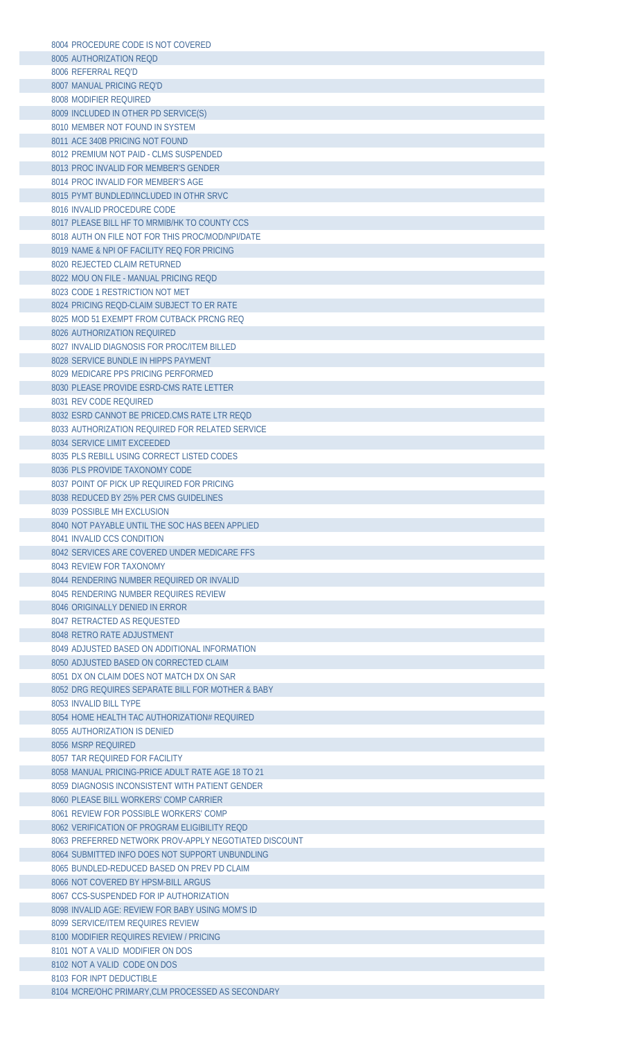| 8004 PROCEDURE CODE IS NOT COVERED                                                              |
|-------------------------------------------------------------------------------------------------|
| 8005 AUTHORIZATION REQD                                                                         |
| 8006 REFERRAL REQ'D                                                                             |
| 8007 MANUAL PRICING REQ'D                                                                       |
| 8008 MODIFIER REQUIRED                                                                          |
| 8009 INCLUDED IN OTHER PD SERVICE(S)                                                            |
| 8010 MEMBER NOT FOUND IN SYSTEM                                                                 |
| 8011 ACE 340B PRICING NOT FOUND<br>8012 PREMIUM NOT PAID - CLMS SUSPENDED                       |
| 8013 PROC INVALID FOR MEMBER'S GENDER                                                           |
| 8014 PROC INVALID FOR MEMBER'S AGE                                                              |
| 8015 PYMT BUNDLED/INCLUDED IN OTHR SRVC                                                         |
| 8016 INVALID PROCEDURE CODE                                                                     |
| 8017 PLEASE BILL HF TO MRMIB/HK TO COUNTY CCS                                                   |
| 8018 AUTH ON FILE NOT FOR THIS PROC/MOD/NPI/DATE                                                |
| 8019 NAME & NPI OF FACILITY REQ FOR PRICING                                                     |
| 8020 REJECTED CLAIM RETURNED                                                                    |
| 8022 MOU ON FILE - MANUAL PRICING REQD<br>8023 CODE 1 RESTRICTION NOT MET                       |
| 8024 PRICING REOD-CLAIM SUBJECT TO ER RATE                                                      |
| 8025 MOD 51 EXEMPT FROM CUTBACK PRCNG REQ                                                       |
| 8026 AUTHORIZATION REQUIRED                                                                     |
| 8027 INVALID DIAGNOSIS FOR PROC/ITEM BILLED                                                     |
| 8028 SERVICE BUNDLE IN HIPPS PAYMENT                                                            |
| 8029 MEDICARE PPS PRICING PERFORMED                                                             |
| 8030 PLEASE PROVIDE ESRD-CMS RATE LETTER                                                        |
| 8031 REV CODE REQUIRED                                                                          |
| 8032 ESRD CANNOT BE PRICED.CMS RATE LTR REQD<br>8033 AUTHORIZATION REQUIRED FOR RELATED SERVICE |
| 8034 SERVICE LIMIT EXCEEDED                                                                     |
| 8035 PLS REBILL USING CORRECT LISTED CODES                                                      |
| 8036 PLS PROVIDE TAXONOMY CODE                                                                  |
| 8037 POINT OF PICK UP REQUIRED FOR PRICING                                                      |
| 8038 REDUCED BY 25% PER CMS GUIDELINES                                                          |
| 8039 POSSIBLE MH EXCLUSION                                                                      |
| 8040 NOT PAYABLE UNTIL THE SOC HAS BEEN APPLIED                                                 |
| 8041 INVALID CCS CONDITION                                                                      |
| 8042 SERVICES ARE COVERED UNDER MEDICARE FFS<br>8043 REVIEW FOR TAXONOMY                        |
| 8044 RENDERING NUMBER REQUIRED OR INVALID                                                       |
| 8045 RENDERING NUMBER REOUIRES REVIEW                                                           |
| 8046 ORIGINALLY DENIED IN ERROR                                                                 |
| 8047 RETRACTED AS REQUESTED                                                                     |
| 8048 RETRO RATE ADJUSTMENT                                                                      |
| 8049 ADJUSTED BASED ON ADDITIONAL INFORMATION                                                   |
| 8050 ADJUSTED BASED ON CORRECTED CLAIM                                                          |
| 8051 DX ON CLAIM DOES NOT MATCH DX ON SAR<br>8052 DRG REQUIRES SEPARATE BILL FOR MOTHER & BABY  |
| 8053 INVALID BILL TYPE                                                                          |
| 8054 HOME HEALTH TAC AUTHORIZATION# REQUIRED                                                    |
| 8055 AUTHORIZATION IS DENIED                                                                    |
| 8056 MSRP REQUIRED                                                                              |
| 8057 TAR REQUIRED FOR FACILITY                                                                  |
| 8058 MANUAL PRICING-PRICE ADULT RATE AGE 18 TO 21                                               |
| 8059 DIAGNOSIS INCONSISTENT WITH PATIENT GENDER                                                 |
| 8060 PLEASE BILL WORKERS' COMP CARRIER<br>8061 REVIEW FOR POSSIBLE WORKERS' COMP                |
| 8062 VERIFICATION OF PROGRAM ELIGIBILITY REQD                                                   |
| 8063 PREFERRED NETWORK PROV-APPLY NEGOTIATED DISCOUNT                                           |
| 8064 SUBMITTED INFO DOES NOT SUPPORT UNBUNDLING                                                 |
| 8065 BUNDLED-REDUCED BASED ON PREV PD CLAIM                                                     |
| 8066 NOT COVERED BY HPSM-BILL ARGUS                                                             |
| 8067 CCS-SUSPENDED FOR IP AUTHORIZATION                                                         |
| 8098 INVALID AGE: REVIEW FOR BABY USING MOM'S ID                                                |
| 8099 SERVICE/ITEM REOUIRES REVIEW                                                               |
| 8100 MODIFIER REOUIRES REVIEW / PRICING<br>8101 NOT A VALID MODIFIER ON DOS                     |
| 8102 NOT A VALID CODE ON DOS                                                                    |
| 8103 FOR INPT DEDUCTIBLE                                                                        |
| 8104 MCRE/OHC PRIMARY, CLM PROCESSED AS SECONDARY                                               |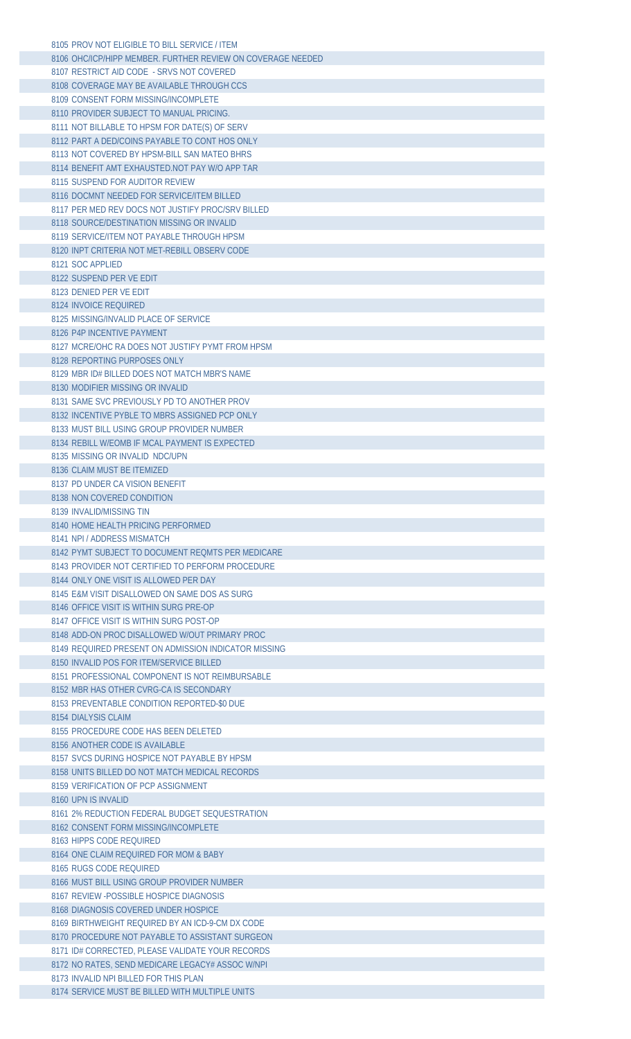| 8105 PROV NOT ELIGIBLE TO BILL SERVICE / ITEM                                 |  |
|-------------------------------------------------------------------------------|--|
| 8106 OHC/ICP/HIPP MEMBER, FURTHER REVIEW ON COVERAGE NEEDED                   |  |
| 8107 RESTRICT AID CODE - SRVS NOT COVERED                                     |  |
| 8108 COVERAGE MAY BE AVAILABLE THROUGH CCS                                    |  |
| 8109 CONSENT FORM MISSING/INCOMPLETE                                          |  |
| 8110 PROVIDER SUBJECT TO MANUAL PRICING.                                      |  |
| 8111 NOT BILLABLE TO HPSM FOR DATE(S) OF SERV                                 |  |
| 8112 PART A DED/COINS PAYABLE TO CONT HOS ONLY                                |  |
| 8113 NOT COVERED BY HPSM-BILL SAN MATEO BHRS                                  |  |
|                                                                               |  |
| 8114 BENEFIT AMT EXHAUSTED. NOT PAY W/O APP TAR                               |  |
| 8115 SUSPEND FOR AUDITOR REVIEW                                               |  |
| 8116 DOCMNT NEEDED FOR SERVICE/ITEM BILLED                                    |  |
| 8117 PER MED REV DOCS NOT JUSTIFY PROC/SRV BILLED                             |  |
| 8118 SOURCE/DESTINATION MISSING OR INVALID                                    |  |
| 8119 SERVICE/ITEM NOT PAYABLE THROUGH HPSM                                    |  |
| 8120 INPT CRITERIA NOT MET-REBILL OBSERV CODE                                 |  |
| 8121 SOC APPLIED                                                              |  |
| 8122 SUSPEND PER VE EDIT                                                      |  |
| 8123 DENIED PER VE EDIT                                                       |  |
| 8124 INVOICE REQUIRED                                                         |  |
| 8125 MISSING/INVALID PLACE OF SERVICE                                         |  |
| 8126 P4P INCENTIVE PAYMENT                                                    |  |
| 8127 MCRE/OHC RA DOES NOT JUSTIFY PYMT FROM HPSM                              |  |
|                                                                               |  |
| 8128 REPORTING PURPOSES ONLY<br>8129 MBR ID# BILLED DOES NOT MATCH MBR'S NAME |  |
|                                                                               |  |
| 8130 MODIFIER MISSING OR INVALID                                              |  |
| 8131 SAME SVC PREVIOUSLY PD TO ANOTHER PROV                                   |  |
| 8132 INCENTIVE PYBLE TO MBRS ASSIGNED PCP ONLY                                |  |
| 8133 MUST BILL USING GROUP PROVIDER NUMBER                                    |  |
| 8134 REBILL W/EOMB IF MCAL PAYMENT IS EXPECTED                                |  |
| 8135 MISSING OR INVALID NDC/UPN                                               |  |
| 8136 CLAIM MUST BE ITEMIZED                                                   |  |
| 8137 PD UNDER CA VISION BENEFIT                                               |  |
| 8138 NON COVERED CONDITION                                                    |  |
| 8139 INVALID/MISSING TIN                                                      |  |
|                                                                               |  |
|                                                                               |  |
| 8140 HOME HEALTH PRICING PERFORMED                                            |  |
| 8141 NPL/ADDRESS MISMATCH                                                     |  |
| 8142 PYMT SUBJECT TO DOCUMENT REQMTS PER MEDICARE                             |  |
| 8143 PROVIDER NOT CERTIFIED TO PERFORM PROCEDURE                              |  |
| 8144 ONLY ONE VISIT IS ALLOWED PER DAY                                        |  |
| 8145 F&M VISIT DISALLOWED ON SAME DOS AS SURG                                 |  |
| 8146 OFFICE VISIT IS WITHIN SURG PRE-OP                                       |  |
| 8147 OFFICE VISIT IS WITHIN SURG POST-OP                                      |  |
| 8148 ADD-ON PROC DISALLOWED W/OUT PRIMARY PROC                                |  |
| 8149 REQUIRED PRESENT ON ADMISSION INDICATOR MISSING                          |  |
| 8150 INVALID POS FOR ITEM/SERVICE BILLED                                      |  |
| 8151 PROFESSIONAL COMPONENT IS NOT REIMBURSABLE                               |  |
| 8152 MBR HAS OTHER CVRG-CA IS SECONDARY                                       |  |
| 8153 PREVENTABLE CONDITION REPORTED-\$0 DUE                                   |  |
| 8154 DIALYSIS CLAIM                                                           |  |
| 8155 PROCEDURE CODE HAS BEEN DELETED                                          |  |
| 8156 ANOTHER CODE IS AVAILABLE                                                |  |
| 8157 SVCS DURING HOSPICE NOT PAYABLE BY HPSM                                  |  |
| 8158 UNITS BILLED DO NOT MATCH MEDICAL RECORDS                                |  |
| 8159 VERIFICATION OF PCP ASSIGNMENT                                           |  |
| 8160 UPN IS INVALID                                                           |  |
|                                                                               |  |
| 8161 2% REDUCTION FEDERAL BUDGET SEQUESTRATION                                |  |
| 8162 CONSENT FORM MISSING/INCOMPLETE                                          |  |
| 8163 HIPPS CODE REQUIRED                                                      |  |
| 8164 ONE CLAIM REQUIRED FOR MOM & BABY                                        |  |
| 8165 RUGS CODE REQUIRED                                                       |  |
| 8166 MUST BILL USING GROUP PROVIDER NUMBER                                    |  |
| 8167 REVIEW - POSSIBLE HOSPICE DIAGNOSIS                                      |  |
| 8168 DIAGNOSIS COVERED UNDER HOSPICE                                          |  |
| 8169 BIRTHWEIGHT REQUIRED BY AN ICD-9-CM DX CODE                              |  |
| 8170 PROCEDURE NOT PAYABLE TO ASSISTANT SURGEON                               |  |
| 8171 ID# CORRECTED, PLEASE VALIDATE YOUR RECORDS                              |  |
| 8172 NO RATES, SEND MEDICARE LEGACY# ASSOC W/NPI                              |  |
| 8173 INVALID NPI BILLED FOR THIS PLAN                                         |  |